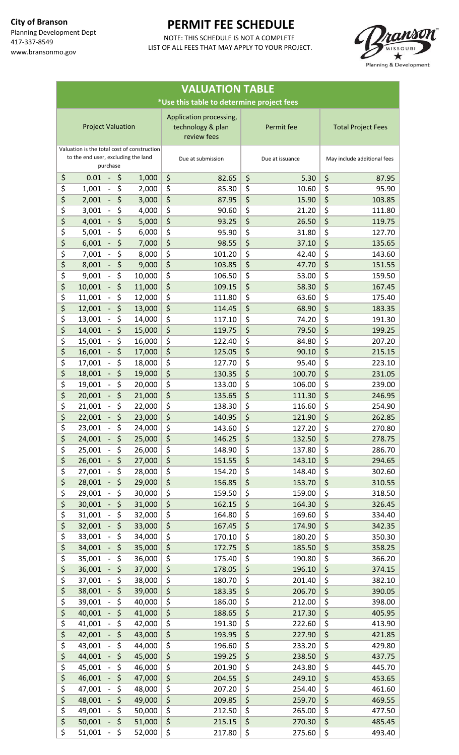

| <b>VALUATION TABLE</b>                    |                                                                                                                                    |                  |                              |          |                  |          |                             |  |  |  |  |  |
|-------------------------------------------|------------------------------------------------------------------------------------------------------------------------------------|------------------|------------------------------|----------|------------------|----------|-----------------------------|--|--|--|--|--|
| *Use this table to determine project fees |                                                                                                                                    |                  |                              |          |                  |          |                             |  |  |  |  |  |
|                                           | Application processing,<br><b>Project Valuation</b><br>technology & plan<br>Permit fee<br><b>Total Project Fees</b><br>review fees |                  |                              |          |                  |          |                             |  |  |  |  |  |
|                                           | Valuation is the total cost of construction<br>to the end user, excluding the land<br>purchase                                     |                  | Due at submission            |          | Due at issuance  |          | May include additional fees |  |  |  |  |  |
| \$                                        | \$<br>0.01                                                                                                                         | 1,000            | \$<br>82.65                  | \$       | 5.30             | \$       | 87.95                       |  |  |  |  |  |
| \$                                        | \$<br>1,001                                                                                                                        | 2,000            | \$<br>85.30                  | \$       | 10.60            | \$       | 95.90                       |  |  |  |  |  |
| \$                                        | \$<br>2,001<br>$\blacksquare$<br>\$                                                                                                | 3,000            | \$<br>87.95                  | \$       | 15.90            | \$       | 103.85                      |  |  |  |  |  |
| \$<br>\$                                  | 3,001<br>\$<br>4,001                                                                                                               | 4,000<br>5,000   | \$<br>90.60<br>\$<br>93.25   | \$<br>\$ | 21.20<br>26.50   | \$<br>\$ | 111.80<br>119.75            |  |  |  |  |  |
| \$                                        | \$<br>5,001<br>$\overline{\phantom{a}}$                                                                                            | 6,000            | \$<br>95.90                  | \$       | 31.80            | \$       | 127.70                      |  |  |  |  |  |
| \$                                        | \$<br>6,001                                                                                                                        | 7,000            | \$<br>98.55                  | \$       | 37.10            | \$       | 135.65                      |  |  |  |  |  |
| \$                                        | \$<br>7,001<br>$\overline{\phantom{a}}$                                                                                            | 8,000            | \$<br>101.20                 | \$       | 42.40            | \$       | 143.60                      |  |  |  |  |  |
| \$                                        | \$<br>8,001                                                                                                                        | 9,000            | \$<br>103.85                 | \$       | 47.70            | \$       | 151.55                      |  |  |  |  |  |
| \$                                        | \$<br>9,001                                                                                                                        | 10,000           | \$<br>106.50                 | \$       | 53.00            | \$       | 159.50                      |  |  |  |  |  |
| \$                                        | \$<br>10,001                                                                                                                       | 11,000           | \$<br>109.15                 | \$       | 58.30            | \$       | 167.45                      |  |  |  |  |  |
| \$                                        | \$<br>11,001                                                                                                                       | 12,000           | \$<br>111.80                 | \$       | 63.60            | \$       | 175.40                      |  |  |  |  |  |
| \$                                        | \$<br>12,001                                                                                                                       | 13,000           | \$<br>114.45                 | \$       | 68.90            | \$       | 183.35                      |  |  |  |  |  |
| \$<br>\$                                  | \$<br>13,001<br>\$                                                                                                                 | 14,000           | \$<br>117.10                 | \$       | 74.20            | \$<br>\$ | 191.30                      |  |  |  |  |  |
| \$                                        | 14,001<br>\$<br>15,001                                                                                                             | 15,000<br>16,000 | \$<br>119.75<br>\$<br>122.40 | \$<br>\$ | 79.50<br>84.80   | \$       | 199.25<br>207.20            |  |  |  |  |  |
| \$                                        | \$<br>16,001                                                                                                                       | 17,000           | \$<br>125.05                 | \$       | 90.10            | \$       | 215.15                      |  |  |  |  |  |
| \$                                        | \$<br>17,001                                                                                                                       | 18,000           | \$<br>127.70                 | \$       | 95.40            | \$       | 223.10                      |  |  |  |  |  |
| \$                                        | \$<br>18,001                                                                                                                       | 19,000           | \$<br>130.35                 | \$       | 100.70           | \$       | 231.05                      |  |  |  |  |  |
| \$                                        | \$<br>19,001                                                                                                                       | 20,000           | \$<br>133.00                 | \$       | 106.00           | \$       | 239.00                      |  |  |  |  |  |
| \$                                        | \$<br>20,001                                                                                                                       | 21,000           | \$<br>135.65                 | \$       | 111.30           | \$       | 246.95                      |  |  |  |  |  |
| \$                                        | \$<br>21,001                                                                                                                       | 22,000           | \$<br>138.30                 | \$       | 116.60           | \$       | 254.90                      |  |  |  |  |  |
| \$                                        | \$<br>22,001                                                                                                                       | 23,000           | \$<br>140.95                 | \$       | 121.90           | $\zeta$  | 262.85                      |  |  |  |  |  |
| \$                                        | \$<br>23,001<br>$\sim$                                                                                                             | 24,000           | \$<br>143.60                 | \$       | 127.20           | \$       | 270.80                      |  |  |  |  |  |
| \$                                        | $\overline{\xi}$<br>24,001                                                                                                         | 25,000           | \$<br>146.25                 | \$       | 132.50           | \$       | 278.75                      |  |  |  |  |  |
| \$<br>\$                                  | \$<br>25,001<br>\$<br>26,001<br>$\omega_{\rm c}$                                                                                   | 26,000<br>27,000 | \$<br>148.90<br>\$<br>151.55 | \$<br>\$ | 137.80<br>143.10 | \$<br>\$ | 286.70<br>294.65            |  |  |  |  |  |
| \$                                        | \$<br>27,001                                                                                                                       | 28,000           | \$<br>154.20                 | \$       | 148.40           | \$       | 302.60                      |  |  |  |  |  |
| \$                                        | \$<br>28,001                                                                                                                       | 29,000           | \$<br>156.85                 | \$       | 153.70           | \$       | 310.55                      |  |  |  |  |  |
| \$                                        | \$<br>29,001                                                                                                                       | 30,000           | \$<br>159.50                 | \$       | 159.00           | \$       | 318.50                      |  |  |  |  |  |
| \$                                        | \$<br>30,001<br>$\overline{\phantom{a}}$                                                                                           | 31,000           | \$<br>162.15                 | \$       | 164.30           | \$       | 326.45                      |  |  |  |  |  |
| \$                                        | \$<br>31,001                                                                                                                       | 32,000           | \$<br>164.80                 | \$       | 169.60           | \$       | 334.40                      |  |  |  |  |  |
| \$                                        | \$<br>32,001<br>$\omega_{\rm c}$                                                                                                   | 33,000           | \$<br>167.45                 | \$       | 174.90           | \$       | 342.35                      |  |  |  |  |  |
| \$                                        | \$<br>33,001<br>$\blacksquare$                                                                                                     | 34,000           | \$<br>170.10                 | \$       | 180.20           | \$       | 350.30                      |  |  |  |  |  |
| \$                                        | \$<br>34,001                                                                                                                       | 35,000           | \$<br>172.75                 | \$       | 185.50           | \$       | 358.25                      |  |  |  |  |  |
| \$<br>\$                                  | \$<br>35,001                                                                                                                       | 36,000           | \$<br>175.40                 | \$       | 190.80           | \$       | 366.20                      |  |  |  |  |  |
| \$                                        | \$<br>36,001<br>\$<br>37,001                                                                                                       | 37,000<br>38,000 | \$<br>178.05<br>\$<br>180.70 | \$<br>\$ | 196.10<br>201.40 | \$<br>\$ | 374.15<br>382.10            |  |  |  |  |  |
| \$                                        | \$<br>38,001                                                                                                                       | 39,000           | \$<br>183.35                 | \$       | 206.70           | \$       | 390.05                      |  |  |  |  |  |
| \$                                        | \$<br>39,001                                                                                                                       | 40,000           | \$<br>186.00                 | \$       | 212.00           | \$       | 398.00                      |  |  |  |  |  |
| \$                                        | \$<br>40,001                                                                                                                       | 41,000           | \$<br>188.65                 | \$       | 217.30           | \$       | 405.95                      |  |  |  |  |  |
| \$                                        | \$<br>41,001                                                                                                                       | 42,000           | \$<br>191.30                 | \$       | 222.60           | \$       | 413.90                      |  |  |  |  |  |
| \$                                        | \$<br>42,001                                                                                                                       | 43,000           | \$<br>193.95                 | \$       | 227.90           | \$       | 421.85                      |  |  |  |  |  |
| \$                                        | \$<br>43,001                                                                                                                       | 44,000           | \$<br>196.60                 | \$       | 233.20           | \$       | 429.80                      |  |  |  |  |  |
| \$                                        | \$<br>44,001                                                                                                                       | 45,000           | \$<br>199.25                 | \$       | 238.50           | \$       | 437.75                      |  |  |  |  |  |
| \$                                        | \$<br>45,001<br>$\overline{\phantom{a}}$                                                                                           | 46,000           | \$<br>201.90                 | \$       | 243.80           | \$       | 445.70                      |  |  |  |  |  |
| \$                                        | \$<br>46,001                                                                                                                       | 47,000           | \$<br>204.55                 | \$       | 249.10           | \$       | 453.65                      |  |  |  |  |  |
| \$                                        | \$<br>47,001<br>$\overline{\phantom{0}}$<br>\$                                                                                     | 48,000           | \$<br>207.20                 | \$       | 254.40           | \$<br>\$ | 461.60                      |  |  |  |  |  |
| \$<br>\$                                  | 48,001<br>\$<br>49,001                                                                                                             | 49,000<br>50,000 | \$<br>209.85<br>\$<br>212.50 | \$<br>\$ | 259.70<br>265.00 | \$       | 469.55<br>477.50            |  |  |  |  |  |
| \$                                        | \$<br>50,001<br>$\omega_{\rm c}$                                                                                                   | 51,000           | \$<br>215.15                 | \$       | 270.30           | \$       | 485.45                      |  |  |  |  |  |
| \$                                        | \$<br>51,001<br>$\pm$                                                                                                              | 52,000           | \$<br>217.80                 | \$       | 275.60           | \$       | 493.40                      |  |  |  |  |  |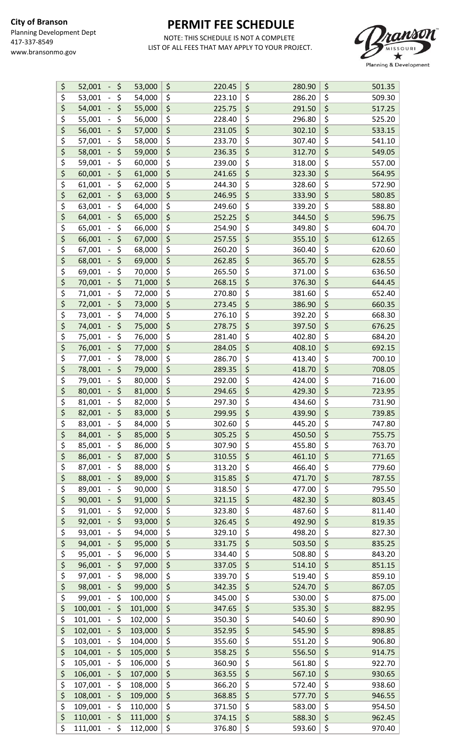

| \$                                  | \$<br>52,001                                | 53,000  | \$<br>220.45 | \$<br>280.90 | \$<br>501.35 |
|-------------------------------------|---------------------------------------------|---------|--------------|--------------|--------------|
| \$                                  | \$<br>53,001                                | 54,000  | \$<br>223.10 | \$<br>286.20 | \$<br>509.30 |
| \$                                  | \$<br>54,001                                | 55,000  | \$<br>225.75 | \$<br>291.50 | \$<br>517.25 |
| \$                                  | \$<br>55,001<br>$\overline{\phantom{a}}$    | 56,000  | \$<br>228.40 | \$<br>296.80 | \$<br>525.20 |
| \$                                  | \$<br>56,001<br>$\blacksquare$              | 57,000  | \$<br>231.05 | \$<br>302.10 | \$<br>533.15 |
| \$                                  | \$<br>57,001<br>$\overline{\phantom{a}}$    | 58,000  | \$<br>233.70 | \$<br>307.40 | \$<br>541.10 |
|                                     |                                             |         |              | \$           |              |
| \$                                  | \$<br>58,001<br>$\blacksquare$              | 59,000  | \$<br>236.35 | 312.70       | \$<br>549.05 |
| \$                                  | \$<br>59,001<br>$\blacksquare$              | 60,000  | \$<br>239.00 | \$<br>318.00 | \$<br>557.00 |
| \$                                  | \$<br>60,001                                | 61,000  | \$<br>241.65 | \$<br>323.30 | \$<br>564.95 |
| \$                                  | \$<br>61,001<br>$\overline{\phantom{0}}$    | 62,000  | \$<br>244.30 | \$<br>328.60 | \$<br>572.90 |
| \$                                  | \$<br>62,001                                | 63,000  | \$<br>246.95 | \$<br>333.90 | \$<br>580.85 |
| \$                                  | \$<br>63,001                                | 64,000  | \$<br>249.60 | \$<br>339.20 | \$<br>588.80 |
| \$                                  | \$<br>64,001<br>$\omega_{\rm c}$            | 65,000  | \$<br>252.25 | \$<br>344.50 | \$<br>596.75 |
| \$                                  | \$<br>65,001                                | 66,000  | \$<br>254.90 | \$<br>349.80 | \$<br>604.70 |
| \$                                  | \$<br>66,001                                | 67,000  | \$<br>257.55 | \$<br>355.10 | \$<br>612.65 |
| \$                                  | \$<br>67,001                                | 68,000  | \$<br>260.20 | \$<br>360.40 | \$<br>620.60 |
| \$                                  | \$                                          |         |              |              |              |
|                                     | 68,001<br>$\blacksquare$                    | 69,000  | \$<br>262.85 | \$<br>365.70 | \$<br>628.55 |
| \$                                  | \$<br>69,001<br>$\overline{\phantom{a}}$    | 70,000  | \$<br>265.50 | \$<br>371.00 | \$<br>636.50 |
| \$                                  | \$<br>70,001<br>$\overline{\phantom{a}}$    | 71,000  | \$<br>268.15 | \$<br>376.30 | \$<br>644.45 |
| \$                                  | \$<br>71,001                                | 72,000  | \$<br>270.80 | \$<br>381.60 | \$<br>652.40 |
| \$                                  | \$<br>72,001                                | 73,000  | \$<br>273.45 | \$<br>386.90 | \$<br>660.35 |
| \$                                  | \$<br>73,001                                | 74,000  | \$<br>276.10 | \$<br>392.20 | \$<br>668.30 |
| \$                                  | \$<br>74,001                                | 75,000  | \$<br>278.75 | \$<br>397.50 | \$<br>676.25 |
| \$                                  | \$<br>75,001                                | 76,000  | \$<br>281.40 | \$<br>402.80 | \$<br>684.20 |
| \$                                  | \$<br>76,001<br>$\mathcal{L}_{\mathcal{A}}$ | 77,000  | \$<br>284.05 | \$<br>408.10 | \$<br>692.15 |
| \$                                  | \$<br>77,001                                | 78,000  | \$<br>286.70 | \$<br>413.40 | \$<br>700.10 |
| \$                                  | \$                                          |         | 289.35       | \$<br>418.70 | \$<br>708.05 |
|                                     | 78,001                                      | 79,000  | \$           |              |              |
| \$                                  | \$<br>79,001                                | 80,000  | \$<br>292.00 | \$<br>424.00 | \$<br>716.00 |
| \$                                  | \$<br>80,001                                | 81,000  | \$<br>294.65 | \$<br>429.30 | \$<br>723.95 |
| \$                                  | \$<br>81,001                                | 82,000  | \$<br>297.30 | \$<br>434.60 | \$<br>731.90 |
| \$                                  | \$<br>82,001<br>$\blacksquare$              | 83,000  | \$<br>299.95 | \$<br>439.90 | \$<br>739.85 |
| \$                                  | \$<br>83,001<br>$\qquad \qquad -$           | 84,000  | \$<br>302.60 | \$<br>445.20 | \$<br>747.80 |
| \$                                  | \$<br>84,001                                | 85,000  | \$<br>305.25 | \$<br>450.50 | \$<br>755.75 |
| \$                                  | \$<br>85,001                                | 86,000  | \$<br>307.90 | \$<br>455.80 | \$<br>763.70 |
| \$                                  | \$<br>86,001                                | 87,000  | \$<br>310.55 | \$<br>461.10 | \$<br>771.65 |
| \$                                  | \$<br>87,001                                | 88,000  | \$<br>313.20 | \$<br>466.40 | \$<br>779.60 |
| \$                                  | \$<br>88,001                                | 89,000  | \$<br>315.85 | \$<br>471.70 | \$<br>787.55 |
| \$                                  | \$<br>89,001                                | 90,000  | \$<br>318.50 | \$<br>477.00 | \$<br>795.50 |
| \$                                  | \$<br>90,001                                | 91,000  | \$<br>321.15 | \$<br>482.30 | \$<br>803.45 |
|                                     |                                             |         |              |              |              |
| \$                                  | \$<br>91,001                                | 92,000  | \$<br>323.80 | \$<br>487.60 | \$<br>811.40 |
| \$                                  | \$<br>92,001                                | 93,000  | \$<br>326.45 | \$<br>492.90 | \$<br>819.35 |
| \$                                  | \$<br>93,001                                | 94,000  | \$<br>329.10 | \$<br>498.20 | \$<br>827.30 |
| \$                                  | \$<br>94,001                                | 95,000  | \$<br>331.75 | \$<br>503.50 | \$<br>835.25 |
| \$                                  | \$<br>95,001                                | 96,000  | \$<br>334.40 | \$<br>508.80 | \$<br>843.20 |
| \$                                  | \$<br>96,001                                | 97,000  | \$<br>337.05 | \$<br>514.10 | \$<br>851.15 |
| \$                                  | \$<br>97,001                                | 98,000  | \$<br>339.70 | \$<br>519.40 | \$<br>859.10 |
| \$                                  | \$<br>98,001                                | 99,000  | \$<br>342.35 | \$<br>524.70 | \$<br>867.05 |
| \$                                  | \$<br>99,001                                | 100,000 | \$<br>345.00 | \$<br>530.00 | \$<br>875.00 |
| \$                                  | \$<br>100,001                               | 101,000 | \$<br>347.65 | \$<br>535.30 | \$<br>882.95 |
| \$                                  | \$<br>101,001                               | 102,000 | \$<br>350.30 | \$<br>540.60 | \$<br>890.90 |
| $\overline{\boldsymbol{\zeta}}$     | \$<br>102,001                               | 103,000 | \$<br>352.95 | \$<br>545.90 | \$<br>898.85 |
| \$                                  | \$<br>103,001                               | 104,000 | \$           | \$           | \$           |
|                                     |                                             |         | 355.60       | 551.20       | 906.80       |
| $\overline{\boldsymbol{\zeta}}$     | \$<br>104,001                               | 105,000 | \$<br>358.25 | \$<br>556.50 | \$<br>914.75 |
| \$                                  | \$<br>105,001                               | 106,000 | \$<br>360.90 | \$<br>561.80 | \$<br>922.70 |
| $\overline{\boldsymbol{\varsigma}}$ | \$<br>106,001                               | 107,000 | \$<br>363.55 | \$<br>567.10 | \$<br>930.65 |
| \$                                  | \$<br>107,001<br>$\overline{\phantom{0}}$   | 108,000 | \$<br>366.20 | \$<br>572.40 | \$<br>938.60 |
| \$                                  | \$<br>108,001                               | 109,000 | \$<br>368.85 | \$<br>577.70 | \$<br>946.55 |
| $\overline{\boldsymbol{\zeta}}$     | \$<br>109,001                               | 110,000 | \$<br>371.50 | \$<br>583.00 | \$<br>954.50 |
| \$                                  | $\zeta$<br>110,001                          | 111,000 | \$<br>374.15 | \$<br>588.30 | \$<br>962.45 |
| \$                                  | - \$<br>111,001                             | 112,000 | \$<br>376.80 | \$<br>593.60 | \$<br>970.40 |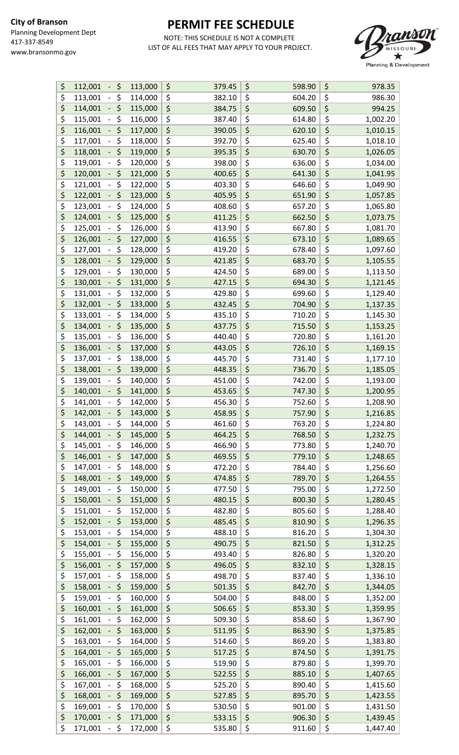

| \$                                  | \$<br>112,001                             | 113,000 | \$<br>379.45 | \$<br>598.90       | \$<br>978.35   |
|-------------------------------------|-------------------------------------------|---------|--------------|--------------------|----------------|
| \$                                  | \$<br>113,001                             | 114,000 | \$<br>382.10 | \$<br>604.20       | \$<br>986.30   |
| \$                                  | \$<br>114,001                             | 115,000 | \$<br>384.75 | \$<br>609.50       | \$<br>994.25   |
| \$                                  | \$<br>115,001                             | 116,000 | \$<br>387.40 | \$<br>614.80       | \$<br>1,002.20 |
| \$                                  | \$<br>116,001                             | 117,000 | \$<br>390.05 | \$<br>620.10       | \$<br>1,010.15 |
| \$                                  | \$<br>117,001                             | 118,000 | \$<br>392.70 | \$<br>625.40       | \$<br>1,018.10 |
| $\overline{\boldsymbol{\zeta}}$     | \$<br>118,001                             | 119,000 | \$<br>395.35 | \$<br>630.70       | \$<br>1,026.05 |
| \$                                  | \$<br>119,001                             | 120,000 | \$<br>398.00 | \$<br>636.00       | \$<br>1,034.00 |
| \$                                  | \$<br>120,001                             |         |              | \$                 | \$             |
|                                     |                                           | 121,000 | \$<br>400.65 | 641.30             | 1,041.95       |
| \$                                  | \$<br>121,001                             | 122,000 | \$<br>403.30 | \$<br>646.60       | \$<br>1,049.90 |
| \$                                  | \$<br>122,001                             | 123,000 | \$<br>405.95 | \$<br>651.90       | \$<br>1,057.85 |
| \$                                  | \$<br>123,001                             | 124,000 | \$<br>408.60 | \$<br>657.20       | \$<br>1,065.80 |
| \$                                  | \$<br>124,001                             | 125,000 | \$<br>411.25 | \$<br>662.50       | \$<br>1,073.75 |
| \$                                  | \$<br>125,001                             | 126,000 | \$<br>413.90 | \$<br>667.80       | \$<br>1,081.70 |
| $\overline{\boldsymbol{\varsigma}}$ | \$<br>126,001                             | 127,000 | \$<br>416.55 | \$<br>673.10       | \$<br>1,089.65 |
| \$                                  | \$<br>127,001                             | 128,000 | \$<br>419.20 | \$<br>678.40       | \$<br>1,097.60 |
| \$                                  | \$<br>128,001                             | 129,000 | \$<br>421.85 | \$<br>683.70       | \$<br>1,105.55 |
| \$                                  | \$<br>129,001                             | 130,000 | \$<br>424.50 | \$<br>689.00       | \$<br>1,113.50 |
| \$                                  | \$<br>130,001                             | 131,000 | \$<br>427.15 | \$<br>694.30       | \$<br>1,121.45 |
| \$                                  | \$<br>131,001                             | 132,000 | \$<br>429.80 | \$<br>699.60       | \$<br>1,129.40 |
| \$                                  | \$<br>132,001                             | 133,000 | \$<br>432.45 | \$<br>704.90       | \$<br>1,137.35 |
| \$                                  | \$<br>133,001<br>$\overline{\phantom{a}}$ | 134,000 | \$<br>435.10 | \$<br>710.20       | \$<br>1,145.30 |
| \$                                  | \$<br>134,001                             | 135,000 | \$<br>437.75 | \$<br>715.50       | \$<br>1,153.25 |
| \$                                  | \$<br>135,001                             | 136,000 | \$<br>440.40 | \$<br>720.80       | \$<br>1,161.20 |
| \$                                  |                                           |         |              |                    |                |
|                                     | \$<br>136,001                             | 137,000 | \$<br>443.05 | \$<br>726.10       | \$<br>1,169.15 |
| \$                                  | \$<br>137,001                             | 138,000 | \$<br>445.70 | \$<br>731.40       | \$<br>1,177.10 |
| \$                                  | \$<br>138,001                             | 139,000 | \$<br>448.35 | \$<br>736.70       | \$<br>1,185.05 |
| \$                                  | \$<br>139,001                             | 140,000 | \$<br>451.00 | \$<br>742.00       | \$<br>1,193.00 |
| \$                                  | \$<br>140,001                             | 141,000 | \$<br>453.65 | \$<br>747.30       | \$<br>1,200.95 |
| \$                                  | \$<br>141,001                             | 142,000 | \$<br>456.30 | \$<br>752.60       | \$<br>1,208.90 |
| \$                                  | \$<br>142,001                             | 143,000 | \$<br>458.95 | \$<br>757.90       | \$<br>1,216.85 |
| \$                                  | 143,001<br>\$<br>$\qquad \qquad -$        | 144,000 | \$<br>461.60 | \$<br>763.20       | \$<br>1,224.80 |
| \$                                  | \$<br>144,001                             | 145,000 | \$<br>464.25 | \$<br>768.50       | \$<br>1,232.75 |
| \$                                  | \$<br>145,001                             | 146,000 | \$<br>466.90 | \$<br>773.80       | \$<br>1,240.70 |
| \$                                  | \$<br>146,001                             | 147,000 | \$<br>469.55 | \$<br>779.10       | \$<br>1,248.65 |
| \$                                  | \$<br>147,001                             | 148,000 | \$<br>472.20 | \$<br>784.40       | \$<br>1,256.60 |
| \$                                  | \$<br>148,001                             | 149,000 | \$<br>474.85 | \$<br>789.70       | \$<br>1,264.55 |
| \$                                  | \$<br>149,001                             | 150,000 | \$<br>477.50 | \$<br>795.00       | \$<br>1,272.50 |
| \$                                  | \$<br>150,001                             | 151,000 | \$<br>480.15 | \$<br>800.30       | \$<br>1,280.45 |
| \$                                  | \$<br>151,001                             | 152,000 | \$<br>482.80 | \$<br>805.60       | \$<br>1,288.40 |
| \$                                  | \$<br>152,001                             | 153,000 | \$<br>485.45 | \$<br>810.90       | \$<br>1,296.35 |
| \$                                  | \$<br>153,001                             | 154,000 | \$<br>488.10 | \$<br>816.20       | \$<br>1,304.30 |
| \$                                  | \$                                        |         |              |                    | \$             |
| \$                                  | 154,001<br>\$                             | 155,000 | \$<br>490.75 | \$<br>821.50<br>\$ | 1,312.25<br>\$ |
|                                     | 155,001                                   | 156,000 | \$<br>493.40 | 826.80             | 1,320.20       |
| \$                                  | \$<br>156,001                             | 157,000 | \$<br>496.05 | \$<br>832.10       | \$<br>1,328.15 |
| \$                                  | \$<br>157,001                             | 158,000 | \$<br>498.70 | \$<br>837.40       | \$<br>1,336.10 |
| \$                                  | \$<br>158,001                             | 159,000 | \$<br>501.35 | \$<br>842.70       | \$<br>1,344.05 |
| \$                                  | \$<br>159,001                             | 160,000 | \$<br>504.00 | \$<br>848.00       | \$<br>1,352.00 |
| \$                                  | \$<br>160,001                             | 161,000 | \$<br>506.65 | \$<br>853.30       | \$<br>1,359.95 |
| \$                                  | \$<br>161,001                             | 162,000 | \$<br>509.30 | \$<br>858.60       | \$<br>1,367.90 |
| $\overline{\boldsymbol{\varsigma}}$ | \$<br>162,001                             | 163,000 | \$<br>511.95 | \$<br>863.90       | \$<br>1,375.85 |
| \$                                  | \$<br>163,001                             | 164,000 | \$<br>514.60 | \$<br>869.20       | \$<br>1,383.80 |
| \$                                  | \$<br>164,001                             | 165,000 | \$<br>517.25 | \$<br>874.50       | \$<br>1,391.75 |
| \$                                  | \$<br>165,001                             | 166,000 | \$<br>519.90 | \$<br>879.80       | \$<br>1,399.70 |
| $\overline{\boldsymbol{\zeta}}$     | \$<br>166,001                             | 167,000 | \$<br>522.55 | \$<br>885.10       | \$<br>1,407.65 |
| \$                                  | \$<br>167,001                             | 168,000 | \$<br>525.20 | \$<br>890.40       | \$<br>1,415.60 |
| \$                                  | \$<br>168,001                             | 169,000 | \$<br>527.85 | \$<br>895.70       | \$<br>1,423.55 |
| \$                                  | \$<br>169,001                             | 170,000 | \$<br>530.50 | \$<br>901.00       | \$<br>1,431.50 |
| \$                                  | \$<br>170,001                             | 171,000 | \$<br>533.15 | \$<br>906.30       | \$<br>1,439.45 |
| \$                                  | \$<br>171,001<br>$\sim$                   | 172,000 | \$<br>535.80 | \$<br>911.60       | \$<br>1,447.40 |
|                                     |                                           |         |              |                    |                |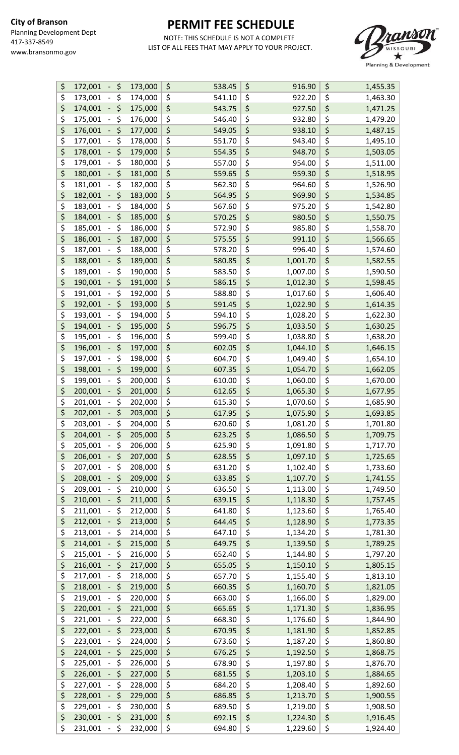

| \$                                  | \$<br>172,001<br>$\blacksquare$              | 173,000 | \$<br>538.45 | \$<br>916.90   | \$                              | 1,455.35 |
|-------------------------------------|----------------------------------------------|---------|--------------|----------------|---------------------------------|----------|
| \$                                  | \$<br>173,001<br>$\qquad \qquad -$           | 174,000 | \$<br>541.10 | \$<br>922.20   | \$                              | 1,463.30 |
| \$                                  | \$<br>174,001<br>$\overline{\phantom{0}}$    | 175,000 | \$<br>543.75 | \$<br>927.50   | \$                              | 1,471.25 |
| \$                                  | \$<br>175,001                                | 176,000 | \$<br>546.40 | \$<br>932.80   | \$                              | 1,479.20 |
| \$                                  | \$<br>176,001                                | 177,000 | \$<br>549.05 | \$<br>938.10   | \$                              | 1,487.15 |
| \$                                  | \$<br>177,001<br>$\qquad \qquad -$           | 178,000 | \$<br>551.70 | \$<br>943.40   | \$                              | 1,495.10 |
| \$                                  | \$<br>178,001<br>$\overline{\phantom{0}}$    | 179,000 | \$<br>554.35 | \$<br>948.70   | \$                              | 1,503.05 |
| \$                                  | \$<br>179,001<br>$\qquad \qquad -$           | 180,000 | \$<br>557.00 | \$<br>954.00   | \$                              | 1,511.00 |
| \$                                  | \$                                           | 181,000 | \$           | \$             | \$                              |          |
|                                     | 180,001<br>$\overline{\phantom{0}}$          |         | 559.65       | 959.30         |                                 | 1,518.95 |
| \$                                  | \$<br>181,001                                | 182,000 | \$<br>562.30 | \$<br>964.60   | \$                              | 1,526.90 |
| \$                                  | \$<br>182,001                                | 183,000 | \$<br>564.95 | \$<br>969.90   | \$                              | 1,534.85 |
| $\overline{\boldsymbol{\zeta}}$     | \$<br>183,001<br>$\qquad \qquad -$           | 184,000 | \$<br>567.60 | \$<br>975.20   | \$                              | 1,542.80 |
| \$                                  | \$<br>184,001<br>$\overline{\phantom{a}}$    | 185,000 | \$<br>570.25 | \$<br>980.50   | \$                              | 1,550.75 |
| \$                                  | \$<br>185,001<br>-                           | 186,000 | \$<br>572.90 | \$<br>985.80   | \$                              | 1,558.70 |
| $\overline{\boldsymbol{\varsigma}}$ | \$<br>186,001<br>$\overline{\phantom{0}}$    | 187,000 | \$<br>575.55 | \$<br>991.10   | \$                              | 1,566.65 |
| \$                                  | \$<br>187,001                                | 188,000 | \$<br>578.20 | \$<br>996.40   | \$                              | 1,574.60 |
| \$                                  | \$<br>188,001                                | 189,000 | \$<br>580.85 | \$<br>1,001.70 | \$                              | 1,582.55 |
| \$                                  | \$<br>189,001                                | 190,000 | \$<br>583.50 | \$<br>1,007.00 | \$                              | 1,590.50 |
| \$                                  | \$<br>190,001<br>$\overline{\phantom{0}}$    | 191,000 | \$<br>586.15 | \$<br>1,012.30 | \$                              | 1,598.45 |
| \$                                  | \$<br>191,001<br>$\qquad \qquad -$           | 192,000 | \$<br>588.80 | \$<br>1,017.60 | \$                              | 1,606.40 |
| \$                                  | \$<br>192,001<br>$\blacksquare$              | 193,000 | \$<br>591.45 | \$<br>1,022.90 | \$                              | 1,614.35 |
| \$                                  | \$<br>193,001<br>$\overline{\phantom{a}}$    | 194,000 | \$<br>594.10 | \$<br>1,028.20 | \$                              | 1,622.30 |
| \$                                  | \$<br>194,001                                | 195,000 | \$<br>596.75 | \$<br>1,033.50 | \$                              | 1,630.25 |
| \$                                  | \$<br>195,001<br>$\overline{\phantom{0}}$    | 196,000 | \$<br>599.40 | \$<br>1,038.80 | \$                              | 1,638.20 |
| \$                                  | \$<br>196,001<br>$\overline{\phantom{0}}$    | 197,000 | \$<br>602.05 | \$<br>1,044.10 | \$                              | 1,646.15 |
| \$                                  | \$<br>197,001                                | 198,000 | \$<br>604.70 | \$<br>1,049.40 | \$                              | 1,654.10 |
| \$                                  | \$<br>198,001<br>$\blacksquare$              | 199,000 | \$<br>607.35 | \$<br>1,054.70 | \$                              | 1,662.05 |
| \$                                  | \$<br>199,001                                | 200,000 | \$<br>610.00 | \$<br>1,060.00 | \$                              | 1,670.00 |
| \$                                  | \$<br>200,001                                | 201,000 | \$<br>612.65 | \$<br>1,065.30 | \$                              | 1,677.95 |
| \$                                  | \$<br>201,001                                | 202,000 | \$           | \$             | \$                              |          |
| \$                                  | \$<br>202,001<br>$\blacksquare$              |         | 615.30<br>\$ | \$<br>1,070.60 | \$                              | 1,685.90 |
|                                     |                                              | 203,000 | 617.95       | 1,075.90       |                                 | 1,693.85 |
| \$                                  | 203,001<br>\$<br>$\qquad \qquad -$           | 204,000 | \$<br>620.60 | \$<br>1,081.20 | \$                              | 1,701.80 |
| \$                                  | \$<br>204,001                                | 205,000 | \$<br>623.25 | \$<br>1,086.50 | \$                              | 1,709.75 |
| \$                                  | \$<br>205,001<br>$\qquad \qquad -$           | 206,000 | \$<br>625.90 | \$<br>1,091.80 | $\overline{\boldsymbol{\zeta}}$ | 1,717.70 |
| \$                                  | \$<br>206,001                                | 207,000 | \$<br>628.55 | \$<br>1,097.10 | \$                              | 1,725.65 |
| \$                                  | \$<br>207,001<br>$\overline{\phantom{0}}$    | 208,000 | \$<br>631.20 | \$<br>1,102.40 | \$                              | 1,733.60 |
| \$                                  | \$<br>208,001                                | 209,000 | \$<br>633.85 | \$<br>1,107.70 | \$                              | 1,741.55 |
| \$                                  | \$<br>209,001                                | 210,000 | \$<br>636.50 | \$<br>1,113.00 | \$                              | 1,749.50 |
| \$                                  | \$<br>210,001                                | 211,000 | \$<br>639.15 | \$<br>1,118.30 | \$                              | 1,757.45 |
| \$                                  | \$<br>211,001                                | 212,000 | \$<br>641.80 | \$<br>1,123.60 | \$                              | 1,765.40 |
| \$                                  | \$<br>212,001                                | 213,000 | \$<br>644.45 | \$<br>1,128.90 | $\overline{\xi}$                | 1,773.35 |
| \$                                  | \$<br>213,001                                | 214,000 | \$<br>647.10 | \$<br>1,134.20 | \$                              | 1,781.30 |
| \$                                  | \$<br>214,001                                | 215,000 | \$<br>649.75 | \$<br>1,139.50 | \$                              | 1,789.25 |
| \$                                  | \$<br>215,001<br>$\overline{\phantom{0}}$    | 216,000 | \$<br>652.40 | \$<br>1,144.80 | \$                              | 1,797.20 |
| \$                                  | \$<br>216,001                                | 217,000 | \$<br>655.05 | \$<br>1,150.10 | \$                              | 1,805.15 |
| \$                                  | \$<br>217,001<br>$\overline{\phantom{a}}$    | 218,000 | \$<br>657.70 | \$<br>1,155.40 | \$                              | 1,813.10 |
| \$                                  | \$<br>218,001<br>-                           | 219,000 | \$<br>660.35 | \$<br>1,160.70 | \$                              | 1,821.05 |
| \$                                  | \$<br>219,001<br>-                           | 220,000 | \$<br>663.00 | \$<br>1,166.00 | \$                              | 1,829.00 |
| \$                                  | \$<br>220,001                                | 221,000 | \$<br>665.65 | \$<br>1,171.30 | \$                              | 1,836.95 |
| \$                                  | \$<br>221,001<br>$\overline{\phantom{a}}$    | 222,000 | \$<br>668.30 | \$<br>1,176.60 | \$                              | 1,844.90 |
| \$                                  | \$<br>222,001<br>$\overline{\phantom{0}}$    | 223,000 | \$<br>670.95 | \$<br>1,181.90 | \$                              | 1,852.85 |
| \$                                  | \$<br>223,001                                | 224,000 | \$<br>673.60 | \$<br>1,187.20 | \$                              | 1,860.80 |
| \$                                  | \$<br>224,001<br>$\overline{\phantom{0}}$    | 225,000 | \$<br>676.25 | \$<br>1,192.50 | \$                              | 1,868.75 |
|                                     | \$                                           |         | \$<br>678.90 | \$<br>1,197.80 | \$                              |          |
| \$                                  | 225,001                                      | 226,000 |              |                |                                 | 1,876.70 |
| \$                                  | \$<br>226,001                                | 227,000 | \$<br>681.55 | \$<br>1,203.10 | \$                              | 1,884.65 |
| \$                                  | \$<br>227,001<br>$\qquad \qquad -$           | 228,000 | \$<br>684.20 | \$<br>1,208.40 | \$                              | 1,892.60 |
| \$                                  | \$<br>228,001                                | 229,000 | \$<br>686.85 | \$<br>1,213.70 | \$                              | 1,900.55 |
| \$                                  | \$<br>229,001<br>$\overline{\phantom{0}}$    | 230,000 | \$<br>689.50 | \$<br>1,219.00 | \$                              | 1,908.50 |
| \$                                  | \$<br>230,001<br>$\overline{\phantom{0}}$    | 231,000 | \$<br>692.15 | \$<br>1,224.30 | \$                              | 1,916.45 |
| \$                                  | \$<br>231,001<br>$\mathcal{L}_{\mathcal{A}}$ | 232,000 | \$<br>694.80 | \$<br>1,229.60 | \$                              | 1,924.40 |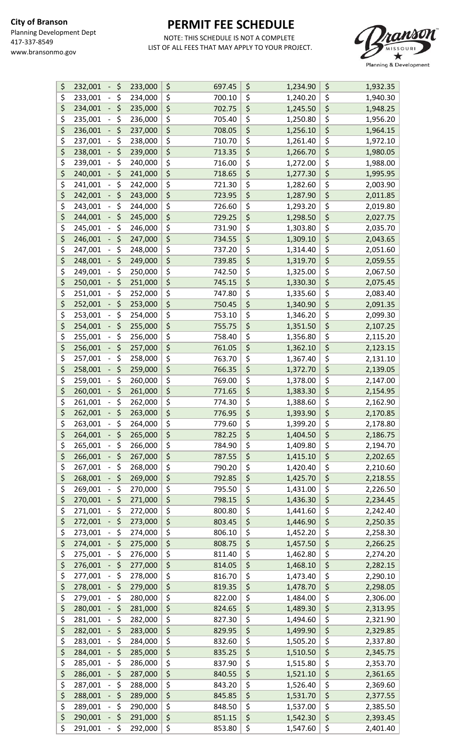

| \$                                  | 232,001<br>\$<br>$\overline{\phantom{0}}$ | 233,000 | \$<br>697.45 | \$<br>1,234.90                                  | \$<br>1,932.35 |
|-------------------------------------|-------------------------------------------|---------|--------------|-------------------------------------------------|----------------|
| \$                                  | \$<br>233,001<br>$\overline{\phantom{a}}$ | 234,000 | \$<br>700.10 | \$<br>1,240.20                                  | \$<br>1,940.30 |
| \$                                  | \$<br>234,001<br>$\overline{\phantom{0}}$ | 235,000 | \$<br>702.75 | \$<br>1,245.50                                  | \$<br>1,948.25 |
| \$                                  | \$<br>235,001                             | 236,000 | \$<br>705.40 | \$<br>1,250.80                                  | \$<br>1,956.20 |
| $\overline{\boldsymbol{\varsigma}}$ | \$<br>236,001<br>$\overline{\phantom{0}}$ | 237,000 | \$<br>708.05 | \$<br>1,256.10                                  | \$<br>1,964.15 |
| \$                                  | \$<br>237,001                             | 238,000 | \$<br>710.70 | \$<br>1,261.40                                  | \$<br>1,972.10 |
|                                     |                                           |         |              |                                                 |                |
| \$                                  | \$<br>238,001                             | 239,000 | \$<br>713.35 | \$<br>1,266.70                                  | \$<br>1,980.05 |
| $\overline{\boldsymbol{\zeta}}$     | \$<br>239,001                             | 240,000 | \$<br>716.00 | \$<br>1,272.00                                  | \$<br>1,988.00 |
| \$                                  | \$<br>240,001                             | 241,000 | \$<br>718.65 | $\overline{\boldsymbol{\varsigma}}$<br>1,277.30 | \$<br>1,995.95 |
| \$                                  | \$<br>241,001<br>$\qquad \qquad -$        | 242,000 | \$<br>721.30 | \$<br>1,282.60                                  | \$<br>2,003.90 |
| \$                                  | \$<br>242,001<br>$\overline{\phantom{0}}$ | 243,000 | \$<br>723.95 | \$<br>1,287.90                                  | \$<br>2,011.85 |
| \$                                  | \$<br>243,001<br>$\overline{\phantom{0}}$ | 244,000 | \$<br>726.60 | \$<br>1,293.20                                  | \$<br>2,019.80 |
| \$                                  | \$<br>244,001                             | 245,000 | \$<br>729.25 | \$<br>1,298.50                                  | \$<br>2,027.75 |
| \$                                  | \$<br>245,001                             | 246,000 | \$<br>731.90 | \$<br>1,303.80                                  | \$<br>2,035.70 |
| $\overline{\boldsymbol{\varsigma}}$ | \$<br>246,001                             | 247,000 | \$<br>734.55 | \$<br>1,309.10                                  | \$<br>2,043.65 |
| \$                                  | \$<br>247,001                             | 248,000 | \$<br>737.20 | \$<br>1,314.40                                  | \$<br>2,051.60 |
| \$                                  | \$<br>248,001<br>$\blacksquare$           | 249,000 | \$<br>739.85 | \$<br>1,319.70                                  | \$<br>2,059.55 |
| \$                                  |                                           |         | \$           | \$                                              | \$             |
|                                     | \$<br>249,001                             | 250,000 | 742.50       | 1,325.00                                        | 2,067.50       |
| \$                                  | \$<br>250,001                             | 251,000 | \$<br>745.15 | \$<br>1,330.30                                  | \$<br>2,075.45 |
| \$                                  | \$<br>251,001                             | 252,000 | \$<br>747.80 | \$<br>1,335.60                                  | \$<br>2,083.40 |
| \$                                  | \$<br>252,001<br>$\overline{\phantom{0}}$ | 253,000 | \$<br>750.45 | \$<br>1,340.90                                  | \$<br>2,091.35 |
| \$                                  | \$<br>253,001                             | 254,000 | \$<br>753.10 | \$<br>1,346.20                                  | \$<br>2,099.30 |
| \$                                  | \$<br>254,001<br>$\overline{\phantom{0}}$ | 255,000 | \$<br>755.75 | \$<br>1,351.50                                  | \$<br>2,107.25 |
| \$                                  | \$<br>255,001<br>$\overline{\phantom{a}}$ | 256,000 | \$<br>758.40 | \$<br>1,356.80                                  | \$<br>2,115.20 |
| \$                                  | \$<br>256,001                             | 257,000 | \$<br>761.05 | \$<br>1,362.10                                  | \$<br>2,123.15 |
| \$                                  | \$<br>257,001                             | 258,000 | \$<br>763.70 | \$<br>1,367.40                                  | \$<br>2,131.10 |
| \$                                  | \$<br>258,001<br>$\overline{\phantom{0}}$ | 259,000 | \$<br>766.35 | \$<br>1,372.70                                  | \$<br>2,139.05 |
| \$                                  | \$<br>259,001                             | 260,000 | \$<br>769.00 | \$<br>1,378.00                                  | \$<br>2,147.00 |
| \$                                  | \$<br>260,001                             | 261,000 | \$<br>771.65 | \$<br>1,383.30                                  | \$<br>2,154.95 |
| \$                                  | \$<br>261,001                             | 262,000 | \$           | \$                                              | \$             |
| \$                                  |                                           |         | 774.30       | 1,388.60<br>\$                                  | 2,162.90<br>\$ |
|                                     | \$<br>262,001<br>$\overline{\phantom{a}}$ | 263,000 | \$<br>776.95 | 1,393.90                                        | 2,170.85       |
| \$                                  | 263,001<br>\$<br>$\qquad \qquad -$        | 264,000 | \$<br>779.60 | \$<br>1,399.20                                  | \$<br>2,178.80 |
| \$                                  | \$<br>264,001                             | 265,000 | \$<br>782.25 | \$<br>1,404.50                                  | \$<br>2,186.75 |
| \$                                  | \$<br>265,001                             | 266,000 | \$<br>784.90 | \$<br>1,409.80                                  | \$<br>2,194.70 |
| \$                                  | \$<br>266,001                             | 267,000 | \$<br>787.55 | \$<br>1,415.10                                  | \$<br>2,202.65 |
| \$                                  | \$<br>267,001<br>$\qquad \qquad -$        | 268,000 | \$<br>790.20 | \$<br>1,420.40                                  | \$<br>2,210.60 |
| \$                                  | \$<br>268,001                             | 269,000 | \$<br>792.85 | \$<br>1,425.70                                  | \$<br>2,218.55 |
| \$                                  | \$<br>269,001                             | 270,000 | \$<br>795.50 | \$<br>1,431.00                                  | \$<br>2,226.50 |
| \$                                  | \$<br>270,001                             | 271,000 | \$<br>798.15 | \$<br>1,436.30                                  | \$<br>2,234.45 |
| \$                                  | \$<br>271,001                             | 272,000 | \$<br>800.80 | \$<br>1,441.60                                  | \$<br>2,242.40 |
| \$                                  | \$<br>272,001                             | 273,000 | \$<br>803.45 | \$<br>1,446.90                                  | \$<br>2,250.35 |
| \$                                  | \$<br>273,001                             | 274,000 | \$<br>806.10 | \$<br>1,452.20                                  | \$<br>2,258.30 |
| \$                                  | \$<br>274,001<br>$\overline{\phantom{0}}$ | 275,000 | \$<br>808.75 | \$<br>1,457.50                                  | \$<br>2,266.25 |
| \$                                  | \$<br>275,001                             | 276,000 | \$<br>811.40 | \$<br>1,462.80                                  | \$<br>2,274.20 |
| \$                                  | \$<br>276,001                             | 277,000 | \$<br>814.05 | \$<br>1,468.10                                  | \$             |
|                                     |                                           |         |              |                                                 | 2,282.15       |
| \$                                  | \$<br>277,001<br>$\qquad \qquad -$        | 278,000 | \$<br>816.70 | \$<br>1,473.40                                  | \$<br>2,290.10 |
| \$                                  | \$<br>278,001                             | 279,000 | \$<br>819.35 | \$<br>1,478.70                                  | \$<br>2,298.05 |
| \$                                  | \$<br>279,001<br>$\qquad \qquad -$        | 280,000 | \$<br>822.00 | \$<br>1,484.00                                  | \$<br>2,306.00 |
| \$                                  | \$<br>280,001<br>$\overline{\phantom{0}}$ | 281,000 | \$<br>824.65 | \$<br>1,489.30                                  | \$<br>2,313.95 |
| \$                                  | \$<br>281,001                             | 282,000 | \$<br>827.30 | \$<br>1,494.60                                  | \$<br>2,321.90 |
| \$                                  | \$<br>282,001                             | 283,000 | \$<br>829.95 | \$<br>1,499.90                                  | \$<br>2,329.85 |
| \$                                  | \$<br>283,001<br>$\qquad \qquad -$        | 284,000 | \$<br>832.60 | \$<br>1,505.20                                  | \$<br>2,337.80 |
| \$                                  | \$<br>284,001<br>÷                        | 285,000 | \$<br>835.25 | \$<br>1,510.50                                  | \$<br>2,345.75 |
| \$                                  | \$<br>285,001                             | 286,000 | \$<br>837.90 | \$<br>1,515.80                                  | \$<br>2,353.70 |
| $\overline{\boldsymbol{\varsigma}}$ | \$<br>286,001<br>-                        | 287,000 | \$<br>840.55 | \$<br>1,521.10                                  | \$<br>2,361.65 |
| \$                                  | \$<br>287,001                             | 288,000 | \$<br>843.20 | \$<br>1,526.40                                  | \$<br>2,369.60 |
| \$                                  | \$<br>288,001                             | 289,000 | \$<br>845.85 | \$<br>1,531.70                                  | \$<br>2,377.55 |
| $\overline{\boldsymbol{\zeta}}$     | \$<br>289,001                             | 290,000 | \$<br>848.50 | \$<br>1,537.00                                  | \$<br>2,385.50 |
| \$                                  | \$<br>290,001                             | 291,000 | \$<br>851.15 | $\overline{\boldsymbol{\zeta}}$<br>1,542.30     | \$             |
|                                     | $\overline{\phantom{0}}$                  |         |              |                                                 | 2,393.45       |
| \$                                  | - \$<br>291,001                           | 292,000 | \$<br>853.80 | \$<br>1,547.60                                  | \$<br>2,401.40 |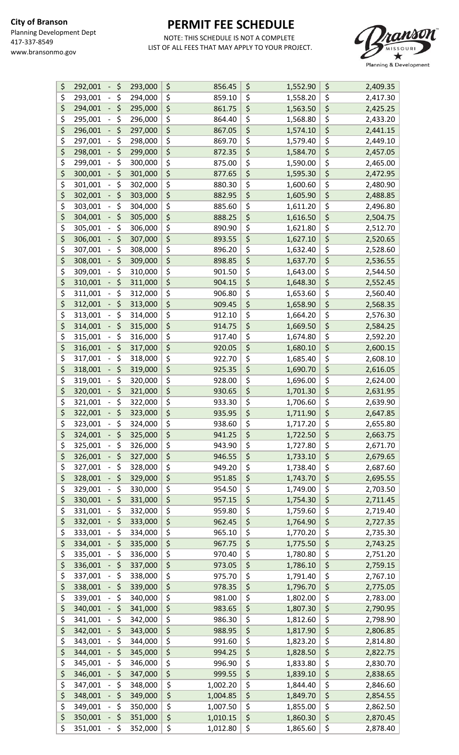

| \$                                  | 292,001<br>\$<br>$\blacksquare$               | 293,000 | \$<br>856.45   | \$<br>1,552.90 | \$<br>2,409.35 |
|-------------------------------------|-----------------------------------------------|---------|----------------|----------------|----------------|
| \$                                  | \$<br>293,001<br>$\qquad \qquad -$            | 294,000 | \$<br>859.10   | \$<br>1,558.20 | \$<br>2,417.30 |
| \$                                  | \$<br>294,001                                 | 295,000 | \$<br>861.75   | \$<br>1,563.50 | \$<br>2,425.25 |
| \$                                  | \$<br>295,001<br>$\overline{\phantom{0}}$     | 296,000 | \$<br>864.40   | \$<br>1,568.80 | \$<br>2,433.20 |
| \$                                  | \$<br>296,001                                 | 297,000 | \$<br>867.05   | \$<br>1,574.10 | \$<br>2,441.15 |
| \$                                  | \$<br>297,001                                 | 298,000 | \$<br>869.70   | \$<br>1,579.40 | \$<br>2,449.10 |
| \$                                  | \$<br>298,001                                 | 299,000 | \$<br>872.35   | \$<br>1,584.70 | \$<br>2,457.05 |
| $\overline{\boldsymbol{\zeta}}$     | \$<br>299,001                                 | 300,000 | \$             | \$             | \$             |
|                                     |                                               |         | 875.00         | 1,590.00       | 2,465.00       |
| $\overline{\boldsymbol{\varsigma}}$ | \$<br>300,001                                 | 301,000 | \$<br>877.65   | \$<br>1,595.30 | \$<br>2,472.95 |
| \$                                  | \$<br>301,001<br>$\qquad \qquad -$            | 302,000 | \$<br>880.30   | \$<br>1,600.60 | \$<br>2,480.90 |
| \$                                  | \$<br>302,001<br>-                            | 303,000 | \$<br>882.95   | \$<br>1,605.90 | \$<br>2,488.85 |
| \$                                  | \$<br>303,001<br>-                            | 304,000 | \$<br>885.60   | \$<br>1,611.20 | \$<br>2,496.80 |
| \$                                  | \$<br>304,001                                 | 305,000 | \$<br>888.25   | \$<br>1,616.50 | \$<br>2,504.75 |
| \$                                  | \$<br>305,001<br>$\overline{\phantom{0}}$     | 306,000 | \$<br>890.90   | \$<br>1,621.80 | \$<br>2,512.70 |
| $\overline{\boldsymbol{\varsigma}}$ | \$<br>306,001                                 | 307,000 | \$<br>893.55   | \$<br>1,627.10 | \$<br>2,520.65 |
| \$                                  | \$<br>307,001                                 | 308,000 | \$<br>896.20   | \$<br>1,632.40 | \$<br>2,528.60 |
| \$                                  | \$<br>308,001<br>-                            | 309,000 | \$<br>898.85   | \$<br>1,637.70 | \$<br>2,536.55 |
| \$                                  | \$<br>309,001<br>-                            | 310,000 | \$<br>901.50   | \$<br>1,643.00 | \$<br>2,544.50 |
| \$                                  | \$<br>310,001                                 | 311,000 | \$<br>904.15   | \$<br>1,648.30 | \$<br>2,552.45 |
| \$                                  | \$<br>311,001<br>$\qquad \qquad \blacksquare$ | 312,000 | \$<br>906.80   | \$<br>1,653.60 | \$<br>2,560.40 |
| \$                                  | \$<br>312,001<br>$\overline{\phantom{0}}$     | 313,000 | \$<br>909.45   | \$<br>1,658.90 | \$<br>2,568.35 |
| \$                                  | \$<br>313,001<br>$\qquad \qquad -$            | 314,000 | \$<br>912.10   | \$<br>1,664.20 | \$<br>2,576.30 |
| \$                                  | \$<br>314,001<br>$\overline{\phantom{0}}$     | 315,000 | \$<br>914.75   | \$             | \$             |
|                                     |                                               |         |                | 1,669.50       | 2,584.25       |
| \$                                  | \$<br>315,001<br>-                            | 316,000 | \$<br>917.40   | \$<br>1,674.80 | \$<br>2,592.20 |
| \$                                  | \$<br>316,001                                 | 317,000 | \$<br>920.05   | \$<br>1,680.10 | \$<br>2,600.15 |
| \$                                  | \$<br>317,001<br>-                            | 318,000 | \$<br>922.70   | \$<br>1,685.40 | \$<br>2,608.10 |
| \$                                  | \$<br>318,001<br>$\overline{\phantom{0}}$     | 319,000 | \$<br>925.35   | \$<br>1,690.70 | \$<br>2,616.05 |
| \$                                  | \$<br>319,001<br>-                            | 320,000 | \$<br>928.00   | \$<br>1,696.00 | \$<br>2,624.00 |
| \$                                  | \$<br>320,001<br>$\overline{\phantom{0}}$     | 321,000 | \$<br>930.65   | \$<br>1,701.30 | \$<br>2,631.95 |
| \$                                  | \$<br>321,001                                 | 322,000 | \$<br>933.30   | \$<br>1,706.60 | \$<br>2,639.90 |
| \$                                  | \$<br>322,001<br>-                            | 323,000 | \$<br>935.95   | \$<br>1,711.90 | \$<br>2,647.85 |
| \$                                  | \$<br>323,001<br>$\qquad \qquad -$            | 324,000 | \$<br>938.60   | \$<br>1,717.20 | \$<br>2,655.80 |
| \$                                  | \$<br>324,001                                 | 325,000 | \$<br>941.25   | \$<br>1,722.50 | \$<br>2,663.75 |
| \$                                  | \$<br>325,001<br>$\overline{\phantom{0}}$     | 326,000 | \$<br>943.90   | \$<br>1,727.80 | \$<br>2,671.70 |
| \$                                  | \$<br>326,001<br>-                            | 327,000 | \$<br>946.55   | \$<br>1,733.10 | \$<br>2,679.65 |
| \$                                  | \$<br>327,001<br>$\overline{\phantom{a}}$     | 328,000 | \$<br>949.20   | \$<br>1,738.40 | \$<br>2,687.60 |
| \$                                  | \$<br>328,001                                 | 329,000 | \$<br>951.85   | \$<br>1,743.70 | \$<br>2,695.55 |
| \$                                  | \$<br>329,001                                 | 330,000 | \$<br>954.50   | \$<br>1,749.00 | \$<br>2,703.50 |
| \$                                  | \$<br>330,001<br>-                            | 331,000 | \$<br>957.15   | \$<br>1,754.30 | \$<br>2,711.45 |
| \$                                  | \$<br>331,001                                 | 332,000 | \$<br>959.80   | \$<br>1,759.60 | \$<br>2,719.40 |
| \$                                  | \$<br>332,001<br>$\overline{\phantom{0}}$     | 333,000 | \$<br>962.45   | \$<br>1,764.90 | \$<br>2,727.35 |
| \$                                  | \$<br>333,001                                 | 334,000 | \$<br>965.10   | \$<br>1,770.20 | \$<br>2,735.30 |
|                                     | \$                                            |         |                |                |                |
| \$                                  | 334,001                                       | 335,000 | \$<br>967.75   | \$<br>1,775.50 | \$<br>2,743.25 |
| \$                                  | \$<br>335,001                                 | 336,000 | \$<br>970.40   | \$<br>1,780.80 | \$<br>2,751.20 |
| \$                                  | \$<br>336,001<br>-                            | 337,000 | \$<br>973.05   | \$<br>1,786.10 | \$<br>2,759.15 |
| \$                                  | \$<br>337,001                                 | 338,000 | \$<br>975.70   | \$<br>1,791.40 | \$<br>2,767.10 |
| \$                                  | \$<br>338,001                                 | 339,000 | \$<br>978.35   | \$<br>1,796.70 | \$<br>2,775.05 |
| \$                                  | \$<br>339,001<br>$\qquad \qquad -$            | 340,000 | \$<br>981.00   | \$<br>1,802.00 | \$<br>2,783.00 |
| \$                                  | \$<br>340,001                                 | 341,000 | \$<br>983.65   | \$<br>1,807.30 | \$<br>2,790.95 |
| \$                                  | \$<br>341,001                                 | 342,000 | \$<br>986.30   | \$<br>1,812.60 | \$<br>2,798.90 |
| \$                                  | \$<br>342,001                                 | 343,000 | \$<br>988.95   | \$<br>1,817.90 | \$<br>2,806.85 |
| \$                                  | \$<br>343,001                                 | 344,000 | \$<br>991.60   | \$<br>1,823.20 | \$<br>2,814.80 |
| \$                                  | \$<br>344,001                                 | 345,000 | \$<br>994.25   | \$<br>1,828.50 | \$<br>2,822.75 |
| \$                                  | \$<br>345,001                                 | 346,000 | \$<br>996.90   | \$<br>1,833.80 | \$<br>2,830.70 |
| \$                                  | \$<br>346,001                                 | 347,000 | \$<br>999.55   | \$<br>1,839.10 | \$<br>2,838.65 |
| \$                                  | \$<br>347,001                                 | 348,000 | \$<br>1,002.20 | \$<br>1,844.40 | \$<br>2,846.60 |
| \$                                  | \$<br>348,001                                 | 349,000 | \$<br>1,004.85 | \$<br>1,849.70 | \$<br>2,854.55 |
| \$                                  | \$<br>349,001<br>$\overline{\phantom{0}}$     | 350,000 | \$<br>1,007.50 | \$<br>1,855.00 | \$<br>2,862.50 |
| \$                                  | \$<br>350,001<br>-                            | 351,000 | \$<br>1,010.15 | \$<br>1,860.30 | \$<br>2,870.45 |
| \$                                  | $-$ \$<br>351,001                             | 352,000 | \$<br>1,012.80 | \$<br>1,865.60 | \$<br>2,878.40 |
|                                     |                                               |         |                |                |                |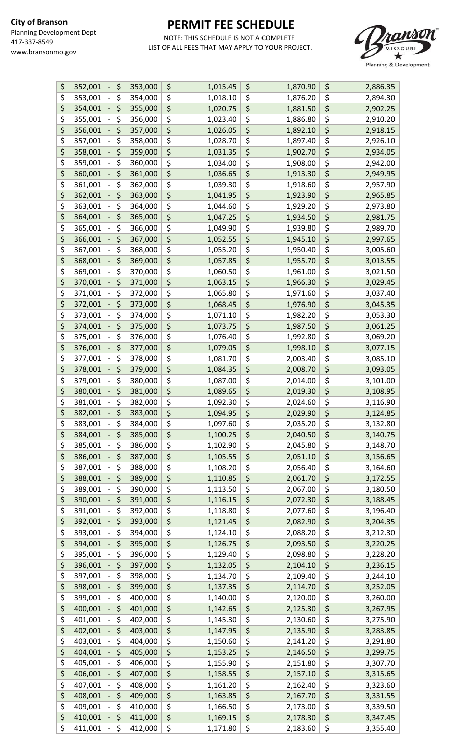

| \$<br>352,001<br>\$<br>$\overline{\phantom{a}}$     | 353,000 | \$<br>1,015.45 | \$<br>1,870.90 | \$<br>2,886.35 |
|-----------------------------------------------------|---------|----------------|----------------|----------------|
| \$<br>\$<br>353,001<br>$\qquad \qquad -$            | 354,000 | \$<br>1,018.10 | \$<br>1,876.20 | \$<br>2,894.30 |
| \$<br>\$<br>354,001                                 | 355,000 | \$<br>1,020.75 | \$<br>1,881.50 | \$<br>2,902.25 |
| \$<br>\$<br>355,001<br>$\overline{\phantom{0}}$     | 356,000 | \$<br>1,023.40 | \$<br>1,886.80 | \$<br>2,910.20 |
| \$<br>\$<br>356,001                                 | 357,000 | \$<br>1,026.05 | \$<br>1,892.10 | \$<br>2,918.15 |
| \$<br>\$<br>357,001                                 | 358,000 | \$<br>1,028.70 | \$<br>1,897.40 | \$<br>2,926.10 |
| \$<br>\$<br>358,001                                 | 359,000 | \$<br>1,031.35 | \$<br>1,902.70 | \$<br>2,934.05 |
| \$<br>\$<br>359,001                                 |         | \$             | \$             | \$             |
| -                                                   | 360,000 | 1,034.00       | 1,908.00       | 2,942.00       |
| \$<br>\$<br>360,001                                 | 361,000 | \$<br>1,036.65 | \$<br>1,913.30 | \$<br>2,949.95 |
| \$<br>\$<br>361,001<br>$\qquad \qquad -$            | 362,000 | \$<br>1,039.30 | \$<br>1,918.60 | \$<br>2,957.90 |
| \$<br>\$<br>362,001<br>-                            | 363,000 | \$<br>1,041.95 | \$<br>1,923.90 | \$<br>2,965.85 |
| \$<br>\$<br>363,001                                 | 364,000 | \$<br>1,044.60 | \$<br>1,929.20 | \$<br>2,973.80 |
| \$<br>\$<br>364,001                                 | 365,000 | \$<br>1,047.25 | \$<br>1,934.50 | \$<br>2,981.75 |
| \$<br>\$<br>365,001<br>-                            | 366,000 | \$<br>1,049.90 | \$<br>1,939.80 | \$<br>2,989.70 |
| \$<br>\$<br>366,001                                 | 367,000 | \$<br>1,052.55 | \$<br>1,945.10 | \$<br>2,997.65 |
| \$<br>\$<br>367,001                                 | 368,000 | \$<br>1,055.20 | \$<br>1,950.40 | \$<br>3,005.60 |
| \$<br>\$<br>368,001<br>-                            | 369,000 | \$<br>1,057.85 | \$<br>1,955.70 | \$<br>3,013.55 |
| \$<br>\$<br>369,001                                 | 370,000 | \$<br>1,060.50 | \$<br>1,961.00 | \$<br>3,021.50 |
| \$<br>\$<br>370,001                                 | 371,000 | \$<br>1,063.15 | \$<br>1,966.30 | \$<br>3,029.45 |
| \$<br>\$<br>371,001<br>$\qquad \qquad -$            | 372,000 | \$<br>1,065.80 | \$<br>1,971.60 | \$<br>3,037.40 |
| \$<br>\$<br>372,001                                 | 373,000 | \$<br>1,068.45 | \$<br>1,976.90 | \$<br>3,045.35 |
| \$<br>\$<br>373,001<br>$\qquad \qquad \blacksquare$ | 374,000 | \$<br>1,071.10 | \$<br>1,982.20 | \$<br>3,053.30 |
| \$<br>\$<br>374,001                                 | 375,000 | \$             |                | \$             |
| -                                                   |         | 1,073.75       | \$<br>1,987.50 | 3,061.25       |
| \$<br>\$<br>375,001                                 | 376,000 | \$<br>1,076.40 | \$<br>1,992.80 | \$<br>3,069.20 |
| \$<br>\$<br>376,001                                 | 377,000 | \$<br>1,079.05 | \$<br>1,998.10 | \$<br>3,077.15 |
| \$<br>\$<br>377,001                                 | 378,000 | \$<br>1,081.70 | \$<br>2,003.40 | \$<br>3,085.10 |
| \$<br>\$<br>378,001<br>-                            | 379,000 | \$<br>1,084.35 | \$<br>2,008.70 | \$<br>3,093.05 |
| \$<br>\$<br>379,001                                 | 380,000 | \$<br>1,087.00 | \$<br>2,014.00 | \$<br>3,101.00 |
| \$<br>\$<br>380,001<br>$\overline{\phantom{0}}$     | 381,000 | \$<br>1,089.65 | \$<br>2,019.30 | \$<br>3,108.95 |
| \$<br>\$<br>381,001                                 | 382,000 | \$<br>1,092.30 | \$<br>2,024.60 | \$<br>3,116.90 |
| \$<br>\$<br>382,001                                 | 383,000 | \$<br>1,094.95 | \$<br>2,029.90 | \$<br>3,124.85 |
| \$<br>383,001<br>\$<br>-                            | 384,000 | \$<br>1,097.60 | \$<br>2,035.20 | \$<br>3,132.80 |
| \$<br>\$<br>384,001                                 | 385,000 | \$<br>1,100.25 | \$<br>2,040.50 | \$<br>3,140.75 |
| \$<br>\$<br>385,001                                 | 386,000 | \$<br>1,102.90 | \$<br>2,045.80 | \$<br>3,148.70 |
| \$<br>\$<br>386,001<br>$\overline{\phantom{0}}$     | 387,000 | \$<br>1,105.55 | \$<br>2,051.10 | \$<br>3,156.65 |
| \$<br>\$<br>387,001<br>-                            | 388,000 | \$<br>1,108.20 | \$<br>2,056.40 | \$<br>3,164.60 |
| \$<br>\$<br>388,001                                 | 389,000 | \$<br>1,110.85 | \$<br>2,061.70 | \$<br>3,172.55 |
| \$<br>\$<br>389,001                                 | 390,000 | \$<br>1,113.50 | \$<br>2,067.00 | \$<br>3,180.50 |
| \$<br>\$<br>390,001<br>-                            | 391,000 | \$<br>1,116.15 | \$<br>2,072.30 | \$<br>3,188.45 |
| \$<br>\$<br>391,001                                 |         | \$             | \$             | \$             |
|                                                     | 392,000 | 1,118.80       | 2,077.60       | 3,196.40       |
| \$<br>\$<br>392,001<br>$\overline{\phantom{0}}$     | 393,000 | \$<br>1,121.45 | \$<br>2,082.90 | \$<br>3,204.35 |
| \$<br>\$<br>393,001                                 | 394,000 | \$<br>1,124.10 | \$<br>2,088.20 | \$<br>3,212.30 |
| \$<br>\$<br>394,001                                 | 395,000 | \$<br>1,126.75 | \$<br>2,093.50 | \$<br>3,220.25 |
| \$<br>\$<br>395,001                                 | 396,000 | \$<br>1,129.40 | \$<br>2,098.80 | \$<br>3,228.20 |
| \$<br>\$<br>396,001<br>-                            | 397,000 | \$<br>1,132.05 | \$<br>2,104.10 | \$<br>3,236.15 |
| \$<br>\$<br>397,001                                 | 398,000 | \$<br>1,134.70 | \$<br>2,109.40 | \$<br>3,244.10 |
| \$<br>\$<br>398,001                                 | 399,000 | \$<br>1,137.35 | \$<br>2,114.70 | \$<br>3,252.05 |
| \$<br>\$<br>399,001<br>$\qquad \qquad -$            | 400,000 | \$<br>1,140.00 | \$<br>2,120.00 | \$<br>3,260.00 |
| \$<br>\$<br>400,001                                 | 401,000 | \$<br>1,142.65 | \$<br>2,125.30 | \$<br>3,267.95 |
| \$<br>\$<br>401,001                                 | 402,000 | \$<br>1,145.30 | \$<br>2,130.60 | \$<br>3,275.90 |
| \$<br>\$<br>402,001                                 | 403,000 | \$<br>1,147.95 | \$<br>2,135.90 | \$<br>3,283.85 |
| \$<br>\$<br>403,001                                 | 404,000 | \$<br>1,150.60 | \$<br>2,141.20 | \$<br>3,291.80 |
| \$<br>\$<br>404,001                                 | 405,000 | \$<br>1,153.25 | \$<br>2,146.50 | \$<br>3,299.75 |
| \$<br>\$<br>405,001                                 | 406,000 | \$<br>1,155.90 | \$<br>2,151.80 | \$<br>3,307.70 |
| \$<br>\$<br>406,001                                 | 407,000 | \$<br>1,158.55 | \$<br>2,157.10 | \$<br>3,315.65 |
| \$<br>\$<br>407,001                                 | 408,000 | \$<br>1,161.20 | \$<br>2,162.40 | \$<br>3,323.60 |
| \$<br>\$<br>408,001                                 | 409,000 | \$<br>1,163.85 | \$<br>2,167.70 | \$             |
| \$<br>\$<br>409,001                                 |         | \$             |                | 3,331.55       |
| -                                                   | 410,000 | 1,166.50       | \$<br>2,173.00 | \$<br>3,339.50 |
| \$<br>\$<br>410,001<br>$\overline{\phantom{0}}$     | 411,000 | \$<br>1,169.15 | \$<br>2,178.30 | \$<br>3,347.45 |
| \$<br>\$<br>411,001<br>$\sim$                       | 412,000 | \$<br>1,171.80 | \$<br>2,183.60 | \$<br>3,355.40 |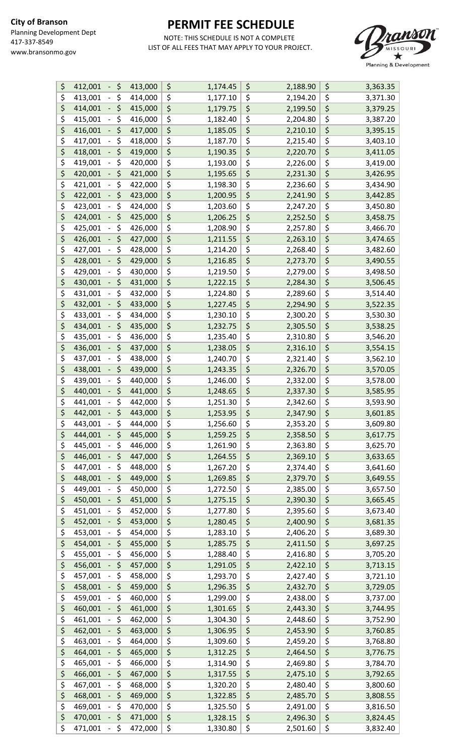

| \$                              | \$<br>412,001 | 413,000 | \$<br>1,174.45 | \$<br>2,188.90 | \$<br>3,363.35 |
|---------------------------------|---------------|---------|----------------|----------------|----------------|
| \$                              | \$<br>413,001 | 414,000 | \$<br>1,177.10 | \$<br>2,194.20 | \$<br>3,371.30 |
| \$                              | \$<br>414,001 | 415,000 | \$<br>1,179.75 | \$<br>2,199.50 | \$<br>3,379.25 |
| \$                              | \$<br>415,001 | 416,000 | \$<br>1,182.40 | \$<br>2,204.80 | \$<br>3,387.20 |
| \$                              | \$<br>416,001 | 417,000 | \$<br>1,185.05 | \$<br>2,210.10 | \$<br>3,395.15 |
| \$                              | \$<br>417,001 | 418,000 | \$<br>1,187.70 | \$<br>2,215.40 | \$<br>3,403.10 |
|                                 |               |         |                |                |                |
| \$                              | \$<br>418,001 | 419,000 | \$<br>1,190.35 | \$<br>2,220.70 | \$<br>3,411.05 |
| \$                              | \$<br>419,001 | 420,000 | \$<br>1,193.00 | \$<br>2,226.00 | \$<br>3,419.00 |
| \$                              | \$<br>420,001 | 421,000 | \$<br>1,195.65 | \$<br>2,231.30 | \$<br>3,426.95 |
| \$                              | \$<br>421,001 | 422,000 | \$<br>1,198.30 | \$<br>2,236.60 | \$<br>3,434.90 |
| \$                              | \$<br>422,001 | 423,000 | \$<br>1,200.95 | \$<br>2,241.90 | \$<br>3,442.85 |
| \$                              | \$<br>423,001 | 424,000 | \$<br>1,203.60 | \$<br>2,247.20 | \$<br>3,450.80 |
| \$                              | \$<br>424,001 | 425,000 | \$<br>1,206.25 | \$<br>2,252.50 | \$<br>3,458.75 |
| \$                              | \$<br>425,001 | 426,000 | \$<br>1,208.90 | \$<br>2,257.80 | \$<br>3,466.70 |
| \$                              | \$<br>426,001 | 427,000 | \$<br>1,211.55 | \$<br>2,263.10 | \$<br>3,474.65 |
| \$                              | \$<br>427,001 | 428,000 | \$<br>1,214.20 | \$<br>2,268.40 | \$<br>3,482.60 |
| \$                              | \$<br>428,001 | 429,000 | \$<br>1,216.85 | \$<br>2,273.70 | \$<br>3,490.55 |
|                                 |               |         |                |                |                |
| \$                              | \$<br>429,001 | 430,000 | \$<br>1,219.50 | \$<br>2,279.00 | \$<br>3,498.50 |
| \$                              | \$<br>430,001 | 431,000 | \$<br>1,222.15 | \$<br>2,284.30 | \$<br>3,506.45 |
| \$                              | \$<br>431,001 | 432,000 | \$<br>1,224.80 | \$<br>2,289.60 | \$<br>3,514.40 |
| \$                              | \$<br>432,001 | 433,000 | \$<br>1,227.45 | \$<br>2,294.90 | \$<br>3,522.35 |
| \$                              | \$<br>433,001 | 434,000 | \$<br>1,230.10 | \$<br>2,300.20 | \$<br>3,530.30 |
| \$                              | \$<br>434,001 | 435,000 | \$<br>1,232.75 | \$<br>2,305.50 | \$<br>3,538.25 |
| \$                              | \$<br>435,001 | 436,000 | \$<br>1,235.40 | \$<br>2,310.80 | \$<br>3,546.20 |
| \$                              | \$<br>436,001 | 437,000 | \$<br>1,238.05 | \$<br>2,316.10 | \$<br>3,554.15 |
| \$                              | \$<br>437,001 | 438,000 | \$<br>1,240.70 | \$<br>2,321.40 | \$<br>3,562.10 |
| \$                              | \$<br>438,001 | 439,000 | \$<br>1,243.35 | \$<br>2,326.70 | \$<br>3,570.05 |
| \$                              | \$<br>439,001 | 440,000 | \$<br>1,246.00 | \$<br>2,332.00 | \$<br>3,578.00 |
| \$                              | \$<br>440,001 |         |                |                |                |
|                                 |               | 441,000 | \$<br>1,248.65 | \$<br>2,337.30 | \$<br>3,585.95 |
| \$                              | \$<br>441,001 | 442,000 | \$<br>1,251.30 | \$<br>2,342.60 | \$<br>3,593.90 |
| \$                              | \$<br>442,001 | 443,000 | \$<br>1,253.95 | \$<br>2,347.90 | \$<br>3,601.85 |
| \$                              | \$<br>443,001 | 444,000 | \$<br>1,256.60 | \$<br>2,353.20 | \$<br>3,609.80 |
| \$                              | \$<br>444,001 | 445,000 | \$<br>1,259.25 | \$<br>2,358.50 | \$<br>3,617.75 |
| \$                              | \$<br>445,001 | 446,000 | \$<br>1,261.90 | \$<br>2,363.80 | \$<br>3,625.70 |
| \$                              | \$<br>446,001 | 447,000 | \$<br>1,264.55 | \$<br>2,369.10 | \$<br>3,633.65 |
| \$                              | \$<br>447,001 | 448,000 | \$<br>1,267.20 | \$<br>2,374.40 | \$<br>3,641.60 |
| \$                              | \$<br>448,001 | 449,000 | \$<br>1,269.85 | \$<br>2,379.70 | \$<br>3,649.55 |
| \$                              | \$<br>449,001 | 450,000 | \$<br>1,272.50 | \$<br>2,385.00 | \$<br>3,657.50 |
| \$                              | \$<br>450,001 | 451,000 | \$<br>1,275.15 | \$<br>2,390.30 | \$<br>3,665.45 |
| \$                              | \$<br>451,001 | 452,000 | \$<br>1,277.80 | \$<br>2,395.60 | \$<br>3,673.40 |
| \$                              | \$<br>452,001 | 453,000 | \$<br>1,280.45 | \$<br>2,400.90 | \$<br>3,681.35 |
| \$                              | \$<br>453,001 | 454,000 | \$<br>1,283.10 | \$<br>2,406.20 | \$<br>3,689.30 |
| \$                              | \$<br>454,001 | 455,000 | \$<br>1,285.75 | \$<br>2,411.50 | \$<br>3,697.25 |
| \$                              |               |         |                |                |                |
|                                 | \$<br>455,001 | 456,000 | \$<br>1,288.40 | \$<br>2,416.80 | \$<br>3,705.20 |
| \$                              | \$<br>456,001 | 457,000 | \$<br>1,291.05 | \$<br>2,422.10 | \$<br>3,713.15 |
| \$                              | \$<br>457,001 | 458,000 | \$<br>1,293.70 | \$<br>2,427.40 | \$<br>3,721.10 |
| \$                              | \$<br>458,001 | 459,000 | \$<br>1,296.35 | \$<br>2,432.70 | \$<br>3,729.05 |
| \$                              | \$<br>459,001 | 460,000 | \$<br>1,299.00 | \$<br>2,438.00 | \$<br>3,737.00 |
| \$                              | \$<br>460,001 | 461,000 | \$<br>1,301.65 | \$<br>2,443.30 | \$<br>3,744.95 |
| \$                              | \$<br>461,001 | 462,000 | \$<br>1,304.30 | \$<br>2,448.60 | \$<br>3,752.90 |
| \$                              | \$<br>462,001 | 463,000 | \$<br>1,306.95 | \$<br>2,453.90 | \$<br>3,760.85 |
| \$                              | \$<br>463,001 | 464,000 | \$<br>1,309.60 | \$<br>2,459.20 | \$<br>3,768.80 |
| \$                              | \$<br>464,001 | 465,000 | \$<br>1,312.25 | \$<br>2,464.50 | \$<br>3,776.75 |
| \$                              | \$<br>465,001 | 466,000 | \$<br>1,314.90 | \$<br>2,469.80 | \$<br>3,784.70 |
| \$                              | \$<br>466,001 | 467,000 | \$<br>1,317.55 | \$<br>2,475.10 | \$<br>3,792.65 |
| \$                              | \$<br>467,001 | 468,000 | \$<br>1,320.20 | \$<br>2,480.40 | \$<br>3,800.60 |
| \$                              | \$            | 469,000 |                |                | \$             |
| $\overline{\boldsymbol{\zeta}}$ | 468,001       |         | \$<br>1,322.85 | \$<br>2,485.70 | 3,808.55       |
|                                 | \$<br>469,001 | 470,000 | \$<br>1,325.50 | \$<br>2,491.00 | \$<br>3,816.50 |
| \$                              | \$<br>470,001 | 471,000 | \$<br>1,328.15 | \$<br>2,496.30 | \$<br>3,824.45 |
| \$                              | \$<br>471,001 | 472,000 | \$<br>1,330.80 | \$<br>2,501.60 | \$<br>3,832.40 |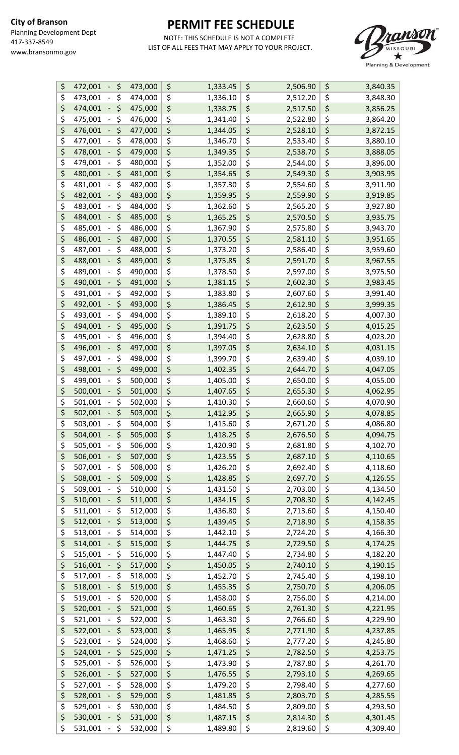

| \$<br>\$<br>472,001<br>$\overline{\phantom{a}}$ | 473,000 | \$<br>1,333.45 | \$<br>2,506.90 | \$<br>3,840.35 |
|-------------------------------------------------|---------|----------------|----------------|----------------|
| \$<br>\$<br>473,001<br>$\qquad \qquad -$        | 474,000 | \$<br>1,336.10 | \$<br>2,512.20 | \$<br>3,848.30 |
| \$<br>\$<br>474,001<br>$\overline{\phantom{a}}$ | 475,000 | \$<br>1,338.75 | \$<br>2,517.50 | \$<br>3,856.25 |
| \$<br>\$<br>475,001<br>-                        | 476,000 | \$<br>1,341.40 | \$<br>2,522.80 | \$<br>3,864.20 |
| \$<br>\$<br>476,001                             | 477,000 | \$<br>1,344.05 | \$<br>2,528.10 | \$<br>3,872.15 |
| \$<br>\$<br>477,001                             | 478,000 | \$<br>1,346.70 | \$<br>2,533.40 | \$<br>3,880.10 |
| \$<br>\$<br>478,001<br>-                        | 479,000 | \$<br>1,349.35 | \$<br>2,538.70 | \$<br>3,888.05 |
| \$<br>\$<br>479,001<br>$\overline{\phantom{0}}$ | 480,000 | \$<br>1,352.00 | \$<br>2,544.00 | \$<br>3,896.00 |
| \$<br>\$<br>480,001<br>$\overline{\phantom{0}}$ | 481,000 | \$<br>1,354.65 | \$<br>2,549.30 | \$<br>3,903.95 |
| \$<br>\$<br>481,001<br>$\qquad \qquad -$        | 482,000 | \$             | \$<br>2,554.60 | \$             |
| \$<br>\$                                        |         | \$<br>1,357.30 | \$             | 3,911.90       |
| 482,001                                         | 483,000 | 1,359.95       | 2,559.90       | \$<br>3,919.85 |
| \$<br>\$<br>483,001                             | 484,000 | \$<br>1,362.60 | \$<br>2,565.20 | \$<br>3,927.80 |
| \$<br>\$<br>484,001<br>-                        | 485,000 | \$<br>1,365.25 | \$<br>2,570.50 | \$<br>3,935.75 |
| \$<br>\$<br>485,001                             | 486,000 | \$<br>1,367.90 | \$<br>2,575.80 | \$<br>3,943.70 |
| \$<br>\$<br>486,001<br>$\overline{\phantom{0}}$ | 487,000 | \$<br>1,370.55 | \$<br>2,581.10 | \$<br>3,951.65 |
| \$<br>\$<br>487,001                             | 488,000 | \$<br>1,373.20 | \$<br>2,586.40 | \$<br>3,959.60 |
| \$<br>\$<br>488,001                             | 489,000 | \$<br>1,375.85 | \$<br>2,591.70 | \$<br>3,967.55 |
| \$<br>\$<br>489,001                             | 490,000 | \$<br>1,378.50 | \$<br>2,597.00 | \$<br>3,975.50 |
| \$<br>\$<br>490,001<br>-                        | 491,000 | \$<br>1,381.15 | \$<br>2,602.30 | \$<br>3,983.45 |
| \$<br>\$<br>491,001                             | 492,000 | \$<br>1,383.80 | \$<br>2,607.60 | \$<br>3,991.40 |
| \$<br>\$<br>492,001                             | 493,000 | \$<br>1,386.45 | \$<br>2,612.90 | \$<br>3,999.35 |
| \$<br>\$<br>493,001<br>$\qquad \qquad -$        | 494,000 | \$<br>1,389.10 | \$<br>2,618.20 | \$<br>4,007.30 |
| \$<br>\$<br>494,001<br>-                        | 495,000 | \$<br>1,391.75 | \$<br>2,623.50 | \$<br>4,015.25 |
| \$<br>\$<br>495,001<br>$\overline{\phantom{0}}$ | 496,000 | \$<br>1,394.40 | \$<br>2,628.80 | \$<br>4,023.20 |
| \$<br>\$<br>496,001                             | 497,000 | \$<br>1,397.05 | \$<br>2,634.10 | \$<br>4,031.15 |
| \$<br>\$<br>497,001                             | 498,000 | \$<br>1,399.70 | \$<br>2,639.40 | \$<br>4,039.10 |
| \$<br>\$<br>498,001<br>$\overline{\phantom{0}}$ | 499,000 | \$<br>1,402.35 | \$<br>2,644.70 | \$<br>4,047.05 |
| \$<br>\$<br>499,001                             | 500,000 | \$<br>1,405.00 | \$<br>2,650.00 | \$<br>4,055.00 |
| \$<br>\$<br>500,001<br>-                        | 501,000 | \$<br>1,407.65 | \$<br>2,655.30 | \$<br>4,062.95 |
| \$<br>\$<br>501,001                             | 502,000 | \$<br>1,410.30 | \$<br>2,660.60 | \$<br>4,070.90 |
| \$<br>\$<br>502,001                             | 503,000 | \$<br>1,412.95 | \$<br>2,665.90 | \$<br>4,078.85 |
| \$<br>503,001<br>\$<br>$\qquad \qquad -$        | 504,000 | \$<br>1,415.60 | \$<br>2,671.20 | \$<br>4,086.80 |
| \$<br>\$<br>504,001                             | 505,000 | \$<br>1,418.25 | \$<br>2,676.50 | \$<br>4,094.75 |
| \$<br>\$<br>505,001                             | 506,000 | \$<br>1,420.90 | \$<br>2,681.80 | \$<br>4,102.70 |
| \$<br>\$                                        |         | \$             |                | \$             |
| 506,001<br>-                                    | 507,000 | 1,423.55       | \$<br>2,687.10 | 4,110.65       |
| \$<br>\$<br>507,001                             | 508,000 | \$<br>1,426.20 | \$<br>2,692.40 | \$<br>4,118.60 |
| \$<br>\$<br>508,001                             | 509,000 | \$<br>1,428.85 | \$<br>2,697.70 | \$<br>4,126.55 |
| \$<br>\$<br>509,001<br>-                        | 510,000 | \$<br>1,431.50 | \$<br>2,703.00 | \$<br>4,134.50 |
| \$<br>\$<br>510,001<br>-                        | 511,000 | \$<br>1,434.15 | \$<br>2,708.30 | \$<br>4,142.45 |
| \$<br>\$<br>511,001                             | 512,000 | \$<br>1,436.80 | \$<br>2,713.60 | \$<br>4,150.40 |
| \$<br>\$<br>512,001<br>-                        | 513,000 | \$<br>1,439.45 | \$<br>2,718.90 | \$<br>4,158.35 |
| \$<br>\$<br>513,001                             | 514,000 | \$<br>1,442.10 | \$<br>2,724.20 | \$<br>4,166.30 |
| \$<br>\$<br>514,001                             | 515,000 | \$<br>1,444.75 | \$<br>2,729.50 | \$<br>4,174.25 |
| \$<br>\$<br>515,001                             | 516,000 | \$<br>1,447.40 | \$<br>2,734.80 | \$<br>4,182.20 |
| \$<br>\$<br>516,001                             | 517,000 | \$<br>1,450.05 | \$<br>2,740.10 | \$<br>4,190.15 |
| \$<br>\$<br>517,001                             | 518,000 | \$<br>1,452.70 | \$<br>2,745.40 | \$<br>4,198.10 |
| \$<br>\$<br>518,001                             | 519,000 | \$<br>1,455.35 | \$<br>2,750.70 | \$<br>4,206.05 |
| \$<br>\$<br>519,001<br>-                        | 520,000 | \$<br>1,458.00 | \$<br>2,756.00 | \$<br>4,214.00 |
| \$<br>\$<br>520,001                             | 521,000 | \$<br>1,460.65 | \$<br>2,761.30 | \$<br>4,221.95 |
| \$<br>\$<br>521,001                             | 522,000 | \$<br>1,463.30 | \$<br>2,766.60 | \$<br>4,229.90 |
| \$<br>\$<br>522,001                             | 523,000 | \$<br>1,465.95 | \$<br>2,771.90 | \$<br>4,237.85 |
| \$<br>\$<br>523,001                             | 524,000 | \$<br>1,468.60 | \$<br>2,777.20 | \$<br>4,245.80 |
| \$<br>\$<br>524,001<br>$\overline{\phantom{0}}$ | 525,000 | \$<br>1,471.25 | \$<br>2,782.50 | \$<br>4,253.75 |
| \$<br>\$<br>525,001                             | 526,000 | \$<br>1,473.90 | \$<br>2,787.80 | \$<br>4,261.70 |
| \$<br>\$<br>526,001                             | 527,000 | \$<br>1,476.55 | \$<br>2,793.10 | \$<br>4,269.65 |
| \$<br>\$<br>527,001                             | 528,000 | \$<br>1,479.20 | \$<br>2,798.40 | \$<br>4,277.60 |
| \$<br>\$<br>528,001<br>-                        | 529,000 | \$<br>1,481.85 | \$<br>2,803.70 | \$<br>4,285.55 |
| \$<br>\$<br>529,001<br>$\overline{\phantom{a}}$ | 530,000 | \$<br>1,484.50 | \$<br>2,809.00 | \$<br>4,293.50 |
| \$<br>\$<br>530,001<br>-                        | 531,000 | \$<br>1,487.15 | \$<br>2,814.30 | \$<br>4,301.45 |
| \$<br>\$<br>531,001<br>$\blacksquare$           | 532,000 | \$<br>1,489.80 | \$<br>2,819.60 | \$<br>4,309.40 |
|                                                 |         |                |                |                |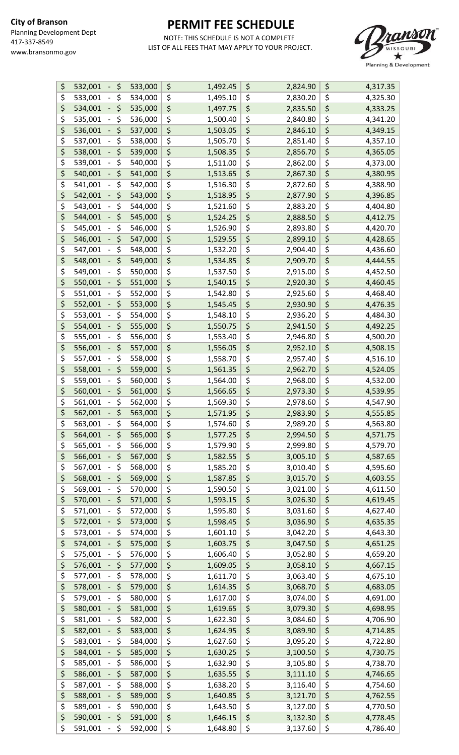

| \$<br>\$<br>532,001                             | 533,000 | \$<br>1,492.45 | \$<br>2,824.90 | \$<br>4,317.35 |
|-------------------------------------------------|---------|----------------|----------------|----------------|
| \$<br>\$<br>533,001                             | 534,000 | \$<br>1,495.10 | \$<br>2,830.20 | \$<br>4,325.30 |
| \$<br>\$<br>534,001                             | 535,000 | \$<br>1,497.75 | \$<br>2,835.50 | \$<br>4,333.25 |
| \$<br>\$<br>535,001                             | 536,000 | \$<br>1,500.40 | \$<br>2,840.80 | \$<br>4,341.20 |
| \$<br>\$<br>536,001                             | 537,000 | \$<br>1,503.05 | \$<br>2,846.10 | \$<br>4,349.15 |
| \$<br>\$<br>537,001                             | 538,000 | \$<br>1,505.70 | \$<br>2,851.40 | \$<br>4,357.10 |
| \$<br>\$<br>538,001                             | 539,000 | \$<br>1,508.35 | \$<br>2,856.70 | \$<br>4,365.05 |
| \$<br>\$<br>539,001                             | 540,000 | \$<br>1,511.00 | \$<br>2,862.00 | \$<br>4,373.00 |
| \$<br>\$                                        |         | \$             | \$             | \$             |
| 540,001                                         | 541,000 | 1,513.65       | 2,867.30       | 4,380.95       |
| \$<br>\$<br>541,001                             | 542,000 | \$<br>1,516.30 | \$<br>2,872.60 | \$<br>4,388.90 |
| \$<br>\$<br>542,001                             | 543,000 | \$<br>1,518.95 | \$<br>2,877.90 | \$<br>4,396.85 |
| \$<br>\$<br>543,001                             | 544,000 | \$<br>1,521.60 | \$<br>2,883.20 | \$<br>4,404.80 |
| \$<br>\$<br>544,001                             | 545,000 | \$<br>1,524.25 | \$<br>2,888.50 | \$<br>4,412.75 |
| \$<br>\$<br>545,001                             | 546,000 | \$<br>1,526.90 | \$<br>2,893.80 | \$<br>4,420.70 |
| \$<br>\$<br>546,001                             | 547,000 | \$<br>1,529.55 | \$<br>2,899.10 | \$<br>4,428.65 |
| \$<br>\$<br>547,001                             | 548,000 | \$<br>1,532.20 | \$<br>2,904.40 | \$<br>4,436.60 |
| \$<br>\$<br>548,001                             | 549,000 | \$<br>1,534.85 | \$<br>2,909.70 | \$<br>4,444.55 |
| \$<br>\$<br>549,001                             | 550,000 | \$<br>1,537.50 | \$<br>2,915.00 | \$<br>4,452.50 |
| \$<br>\$<br>550,001                             | 551,000 | \$<br>1,540.15 | \$<br>2,920.30 | \$<br>4,460.45 |
| \$<br>\$<br>551,001                             | 552,000 | \$<br>1,542.80 | \$<br>2,925.60 | \$<br>4,468.40 |
| \$<br>\$<br>552,001                             | 553,000 | \$<br>1,545.45 | \$<br>2,930.90 | \$<br>4,476.35 |
| \$<br>\$<br>553,001                             | 554,000 | \$<br>1,548.10 | \$<br>2,936.20 | \$<br>4,484.30 |
| \$<br>\$<br>554,001                             | 555,000 | \$<br>1,550.75 | \$<br>2,941.50 | \$<br>4,492.25 |
| \$<br>\$<br>555,001                             | 556,000 | \$<br>1,553.40 | \$<br>2,946.80 | \$<br>4,500.20 |
| \$                                              |         |                | \$             |                |
| \$<br>556,001                                   | 557,000 | \$<br>1,556.05 | 2,952.10       | \$<br>4,508.15 |
| \$<br>\$<br>557,001                             | 558,000 | \$<br>1,558.70 | \$<br>2,957.40 | \$<br>4,516.10 |
| \$<br>\$<br>558,001                             | 559,000 | \$<br>1,561.35 | \$<br>2,962.70 | \$<br>4,524.05 |
| \$<br>\$<br>559,001                             | 560,000 | \$<br>1,564.00 | \$<br>2,968.00 | \$<br>4,532.00 |
| \$<br>\$<br>560,001                             | 561,000 | \$<br>1,566.65 | \$<br>2,973.30 | \$<br>4,539.95 |
| \$<br>\$<br>561,001                             | 562,000 | \$<br>1,569.30 | \$<br>2,978.60 | \$<br>4,547.90 |
| \$<br>\$<br>562,001                             | 563,000 | \$<br>1,571.95 | \$<br>2,983.90 | \$<br>4,555.85 |
| \$<br>563,001<br>\$                             | 564,000 | \$<br>1,574.60 | \$<br>2,989.20 | \$<br>4,563.80 |
| \$<br>\$<br>564,001                             | 565,000 | \$<br>1,577.25 | \$<br>2,994.50 | \$<br>4,571.75 |
| \$<br>\$<br>565,001                             | 566,000 | \$<br>1,579.90 | \$<br>2,999.80 | \$<br>4,579.70 |
| \$<br>\$<br>566,001                             | 567,000 | \$<br>1,582.55 | \$<br>3,005.10 | \$<br>4,587.65 |
| \$<br>\$<br>567,001                             | 568,000 | \$<br>1,585.20 | \$<br>3,010.40 | \$<br>4,595.60 |
| \$<br>\$<br>568,001                             | 569,000 | \$<br>1,587.85 | \$<br>3,015.70 | \$<br>4,603.55 |
| \$<br>\$<br>569,001                             | 570,000 | \$<br>1,590.50 | \$<br>3,021.00 | \$<br>4,611.50 |
| \$<br>\$<br>570,001                             | 571,000 | \$<br>1,593.15 | \$<br>3,026.30 | \$<br>4,619.45 |
| \$<br>\$<br>571,001                             | 572,000 | \$<br>1,595.80 | \$<br>3,031.60 | \$<br>4,627.40 |
| \$<br>\$<br>572,001                             |         | \$             |                | \$             |
|                                                 | 573,000 | 1,598.45       | \$<br>3,036.90 | 4,635.35       |
| \$<br>\$<br>573,001                             | 574,000 | \$<br>1,601.10 | \$<br>3,042.20 | \$<br>4,643.30 |
| \$<br>\$<br>574,001                             | 575,000 | \$<br>1,603.75 | \$<br>3,047.50 | \$<br>4,651.25 |
| \$<br>\$<br>575,001                             | 576,000 | \$<br>1,606.40 | \$<br>3,052.80 | \$<br>4,659.20 |
| \$<br>\$<br>576,001                             | 577,000 | \$<br>1,609.05 | \$<br>3,058.10 | \$<br>4,667.15 |
| \$<br>\$<br>577,001                             | 578,000 | \$<br>1,611.70 | \$<br>3,063.40 | \$<br>4,675.10 |
| \$<br>\$<br>578,001                             | 579,000 | \$<br>1,614.35 | \$<br>3,068.70 | \$<br>4,683.05 |
| \$<br>\$<br>579,001                             | 580,000 | \$<br>1,617.00 | \$<br>3,074.00 | \$<br>4,691.00 |
| \$<br>\$<br>580,001                             | 581,000 | \$<br>1,619.65 | \$<br>3,079.30 | \$<br>4,698.95 |
| \$<br>\$<br>581,001                             | 582,000 | \$<br>1,622.30 | \$<br>3,084.60 | \$<br>4,706.90 |
| \$<br>\$<br>582,001                             | 583,000 | \$<br>1,624.95 | \$<br>3,089.90 | \$<br>4,714.85 |
| \$<br>\$<br>583,001                             | 584,000 | \$<br>1,627.60 | \$<br>3,095.20 | \$<br>4,722.80 |
| \$<br>\$<br>584,001                             | 585,000 | \$<br>1,630.25 | \$<br>3,100.50 | \$<br>4,730.75 |
| \$<br>\$<br>585,001                             | 586,000 | \$<br>1,632.90 | \$<br>3,105.80 | \$<br>4,738.70 |
| \$<br>\$<br>586,001                             | 587,000 | \$<br>1,635.55 | \$<br>3,111.10 | \$<br>4,746.65 |
| \$<br>\$<br>587,001                             | 588,000 | \$<br>1,638.20 | \$<br>3,116.40 | \$<br>4,754.60 |
| \$<br>\$<br>588,001                             | 589,000 | \$<br>1,640.85 | \$<br>3,121.70 | \$             |
| \$<br>\$                                        |         |                |                | 4,762.55       |
| 589,001                                         | 590,000 | \$<br>1,643.50 | \$<br>3,127.00 | \$<br>4,770.50 |
| \$<br>\$<br>590,001                             | 591,000 | \$<br>1,646.15 | \$<br>3,132.30 | \$<br>4,778.45 |
| \$<br>\$<br>591,001<br>$\overline{\phantom{a}}$ | 592,000 | \$<br>1,648.80 | \$<br>3,137.60 | \$<br>4,786.40 |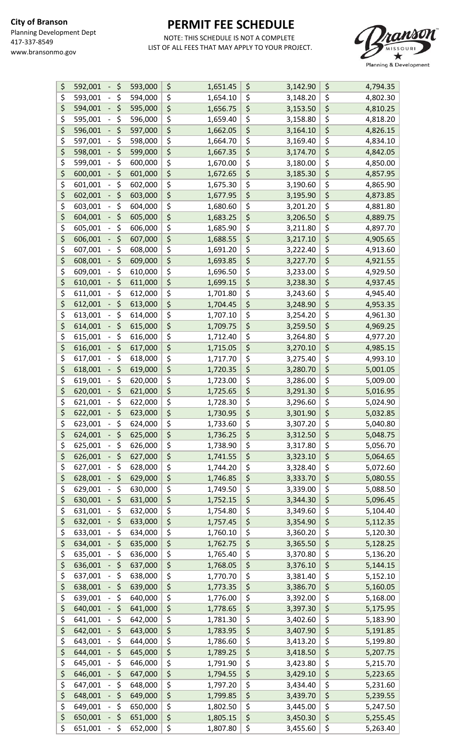

| \$<br>\$<br>592,001                      | 593,000 | \$<br>1,651.45 | \$<br>3,142.90 | \$<br>4,794.35 |
|------------------------------------------|---------|----------------|----------------|----------------|
| \$<br>\$<br>593,001                      | 594,000 | \$<br>1,654.10 | \$<br>3,148.20 | \$<br>4,802.30 |
| \$<br>\$<br>594,001                      | 595,000 | \$<br>1,656.75 | \$<br>3,153.50 | \$<br>4,810.25 |
| \$<br>\$<br>595,001                      | 596,000 | \$<br>1,659.40 | \$<br>3,158.80 | \$<br>4,818.20 |
| \$<br>\$<br>596,001                      | 597,000 | \$<br>1,662.05 | \$<br>3,164.10 | \$<br>4,826.15 |
| \$<br>\$<br>597,001                      | 598,000 | \$<br>1,664.70 | \$<br>3,169.40 | \$<br>4,834.10 |
| \$<br>\$<br>598,001                      | 599,000 | \$<br>1,667.35 | \$<br>3,174.70 | \$<br>4,842.05 |
| \$<br>\$<br>599,001                      | 600,000 | \$<br>1,670.00 | \$<br>3,180.00 | \$<br>4,850.00 |
| \$<br>\$<br>600,001                      |         | \$             | \$             | \$             |
|                                          | 601,000 | 1,672.65       | 3,185.30       | 4,857.95       |
| \$<br>\$<br>601,001                      | 602,000 | \$<br>1,675.30 | \$<br>3,190.60 | \$<br>4,865.90 |
| \$<br>\$<br>602,001                      | 603,000 | \$<br>1,677.95 | \$<br>3,195.90 | \$<br>4,873.85 |
| \$<br>\$<br>603,001                      | 604,000 | \$<br>1,680.60 | \$<br>3,201.20 | \$<br>4,881.80 |
| \$<br>\$<br>604,001                      | 605,000 | \$<br>1,683.25 | \$<br>3,206.50 | \$<br>4,889.75 |
| \$<br>\$<br>605,001                      | 606,000 | \$<br>1,685.90 | \$<br>3,211.80 | \$<br>4,897.70 |
| \$<br>\$<br>606,001                      | 607,000 | \$<br>1,688.55 | \$<br>3,217.10 | \$<br>4,905.65 |
| \$<br>\$<br>607,001                      | 608,000 | \$<br>1,691.20 | \$<br>3,222.40 | \$<br>4,913.60 |
| \$<br>\$<br>608,001                      | 609,000 | \$<br>1,693.85 | \$<br>3,227.70 | \$<br>4,921.55 |
| \$<br>\$<br>609,001                      | 610,000 | \$<br>1,696.50 | \$<br>3,233.00 | \$<br>4,929.50 |
| \$<br>\$<br>610,001                      | 611,000 | \$<br>1,699.15 | \$<br>3,238.30 | \$<br>4,937.45 |
| \$<br>\$<br>611,001                      | 612,000 | \$<br>1,701.80 | \$<br>3,243.60 | \$<br>4,945.40 |
| \$<br>\$<br>612,001                      | 613,000 | \$<br>1,704.45 | \$<br>3,248.90 | \$<br>4,953.35 |
| \$<br>\$<br>613,001                      | 614,000 | \$<br>1,707.10 | \$<br>3,254.20 | \$<br>4,961.30 |
| \$<br>\$<br>614,001                      | 615,000 | \$<br>1,709.75 | \$<br>3,259.50 | \$<br>4,969.25 |
| \$<br>\$<br>615,001                      | 616,000 | \$<br>1,712.40 | \$<br>3,264.80 | \$<br>4,977.20 |
| \$<br>\$<br>616,001                      | 617,000 | \$<br>1,715.05 | \$<br>3,270.10 | \$<br>4,985.15 |
| \$<br>\$<br>617,001                      | 618,000 | \$<br>1,717.70 | \$<br>3,275.40 | \$<br>4,993.10 |
| \$<br>\$<br>618,001                      | 619,000 | \$<br>1,720.35 | \$<br>3,280.70 | \$<br>5,001.05 |
| \$<br>\$<br>619,001                      | 620,000 | \$<br>1,723.00 | \$<br>3,286.00 | \$<br>5,009.00 |
| \$<br>\$<br>620,001                      | 621,000 | \$             | \$             | \$             |
| \$<br>\$                                 |         | 1,725.65       | \$<br>3,291.30 | \$<br>5,016.95 |
| \$<br>621,001                            | 622,000 | \$<br>1,728.30 | \$<br>3,296.60 | \$<br>5,024.90 |
| \$<br>622,001                            | 623,000 | \$<br>1,730.95 | 3,301.90       | 5,032.85       |
| \$<br>623,001<br>\$<br>$\qquad \qquad -$ | 624,000 | \$<br>1,733.60 | \$<br>3,307.20 | \$<br>5,040.80 |
| \$<br>\$<br>624,001                      | 625,000 | \$<br>1,736.25 | \$<br>3,312.50 | \$<br>5,048.75 |
| \$<br>\$<br>625,001                      | 626,000 | \$<br>1,738.90 | \$<br>3,317.80 | \$<br>5,056.70 |
| \$<br>\$<br>626,001                      | 627,000 | \$<br>1,741.55 | \$<br>3,323.10 | \$<br>5,064.65 |
| \$<br>\$<br>627,001                      | 628,000 | \$<br>1,744.20 | \$<br>3,328.40 | \$<br>5,072.60 |
| \$<br>\$<br>628,001                      | 629,000 | \$<br>1,746.85 | \$<br>3,333.70 | \$<br>5,080.55 |
| \$<br>\$<br>629,001                      | 630,000 | \$<br>1,749.50 | \$<br>3,339.00 | \$<br>5,088.50 |
| \$<br>\$<br>630,001                      | 631,000 | \$<br>1,752.15 | \$<br>3,344.30 | \$<br>5,096.45 |
| \$<br>\$<br>631,001                      | 632,000 | \$<br>1,754.80 | \$<br>3,349.60 | \$<br>5,104.40 |
| \$<br>\$<br>632,001                      | 633,000 | \$<br>1,757.45 | \$<br>3,354.90 | \$<br>5,112.35 |
| \$<br>\$<br>633,001                      | 634,000 | \$<br>1,760.10 | \$<br>3,360.20 | \$<br>5,120.30 |
| \$<br>\$<br>634,001                      | 635,000 | \$<br>1,762.75 | \$<br>3,365.50 | \$<br>5,128.25 |
| \$<br>\$<br>635,001                      | 636,000 | \$<br>1,765.40 | \$<br>3,370.80 | \$<br>5,136.20 |
| \$<br>\$<br>636,001                      | 637,000 | \$<br>1,768.05 | \$<br>3,376.10 | \$<br>5,144.15 |
| \$<br>\$<br>637,001                      | 638,000 | \$<br>1,770.70 | \$<br>3,381.40 | \$<br>5,152.10 |
| \$<br>\$<br>638,001                      | 639,000 | \$<br>1,773.35 | \$<br>3,386.70 | \$<br>5,160.05 |
| \$<br>\$<br>639,001                      | 640,000 | \$<br>1,776.00 | \$<br>3,392.00 | \$<br>5,168.00 |
| \$<br>\$<br>640,001                      | 641,000 | \$<br>1,778.65 | \$<br>3,397.30 | \$<br>5,175.95 |
| \$<br>\$<br>641,001                      | 642,000 | \$<br>1,781.30 | \$<br>3,402.60 | \$<br>5,183.90 |
| \$<br>\$<br>642,001                      | 643,000 | \$<br>1,783.95 | \$<br>3,407.90 | \$<br>5,191.85 |
| \$<br>\$<br>643,001                      | 644,000 | \$<br>1,786.60 | \$<br>3,413.20 | \$<br>5,199.80 |
| \$<br>\$<br>644,001                      | 645,000 | \$<br>1,789.25 | \$<br>3,418.50 | \$<br>5,207.75 |
| \$<br>\$                                 | 646,000 |                |                | \$             |
| 645,001                                  |         | \$<br>1,791.90 | \$<br>3,423.80 | 5,215.70       |
| \$<br>\$<br>646,001                      | 647,000 | \$<br>1,794.55 | \$<br>3,429.10 | \$<br>5,223.65 |
| \$<br>\$<br>647,001                      | 648,000 | \$<br>1,797.20 | \$<br>3,434.40 | \$<br>5,231.60 |
| \$<br>\$<br>648,001                      | 649,000 | \$<br>1,799.85 | \$<br>3,439.70 | \$<br>5,239.55 |
| \$<br>\$<br>649,001                      | 650,000 | \$<br>1,802.50 | \$<br>3,445.00 | \$<br>5,247.50 |
| \$<br>\$<br>650,001                      | 651,000 | \$<br>1,805.15 | \$<br>3,450.30 | \$<br>5,255.45 |
| \$<br>\$<br>651,001<br>$\blacksquare$    | 652,000 | \$<br>1,807.80 | \$<br>3,455.60 | \$<br>5,263.40 |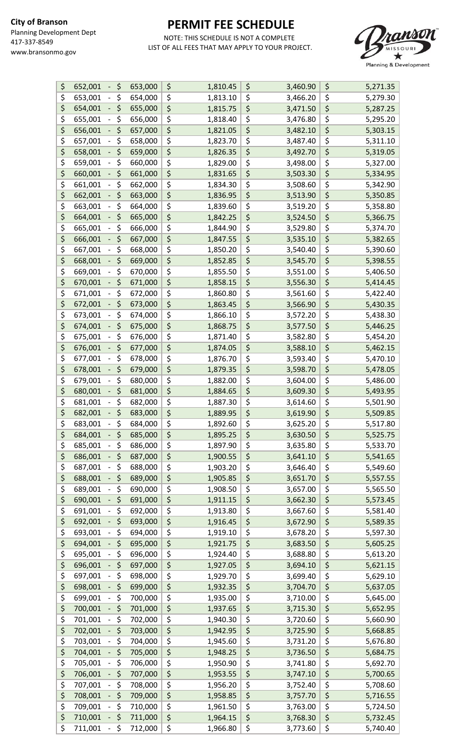

| \$<br>652,001<br>\$<br>$\blacksquare$           | 653,000 | \$<br>1,810.45 | \$                              | 3,460.90 | \$<br>5,271.35 |
|-------------------------------------------------|---------|----------------|---------------------------------|----------|----------------|
| \$<br>\$<br>653,001<br>$\qquad \qquad -$        | 654,000 | \$<br>1,813.10 | \$                              | 3,466.20 | \$<br>5,279.30 |
| \$<br>\$<br>654,001<br>-                        | 655,000 | \$<br>1,815.75 | \$                              | 3,471.50 | \$<br>5,287.25 |
| \$<br>\$<br>655,001<br>-                        | 656,000 | \$<br>1,818.40 | \$                              | 3,476.80 | \$<br>5,295.20 |
| \$<br>\$<br>656,001                             | 657,000 | \$<br>1,821.05 | \$                              | 3,482.10 | \$<br>5,303.15 |
| \$<br>\$<br>657,001<br>-                        | 658,000 | \$<br>1,823.70 | \$                              | 3,487.40 | \$<br>5,311.10 |
| \$<br>\$<br>658,001                             | 659,000 | \$<br>1,826.35 | \$                              | 3,492.70 | \$<br>5,319.05 |
| \$<br>\$<br>659,001                             |         | \$             | \$                              | 3,498.00 | \$             |
| -                                               | 660,000 | 1,829.00       |                                 |          | \$<br>5,327.00 |
| \$<br>\$<br>660,001                             | 661,000 | \$<br>1,831.65 | \$                              | 3,503.30 | 5,334.95       |
| \$<br>\$<br>661,001<br>$\qquad \qquad -$        | 662,000 | \$<br>1,834.30 | \$                              | 3,508.60 | \$<br>5,342.90 |
| \$<br>\$<br>662,001<br>$\overline{\phantom{0}}$ | 663,000 | \$<br>1,836.95 | \$                              | 3,513.90 | \$<br>5,350.85 |
| \$<br>\$<br>663,001<br>-                        | 664,000 | \$<br>1,839.60 | \$                              | 3,519.20 | \$<br>5,358.80 |
| \$<br>\$<br>664,001                             | 665,000 | \$<br>1,842.25 | \$                              | 3,524.50 | \$<br>5,366.75 |
| \$<br>\$<br>665,001<br>-                        | 666,000 | \$<br>1,844.90 | \$                              | 3,529.80 | \$<br>5,374.70 |
| \$<br>\$<br>666,001                             | 667,000 | \$<br>1,847.55 | \$                              | 3,535.10 | \$<br>5,382.65 |
| \$<br>\$<br>667,001                             | 668,000 | \$<br>1,850.20 | \$                              | 3,540.40 | \$<br>5,390.60 |
| \$<br>\$<br>668,001<br>-                        | 669,000 | \$<br>1,852.85 | \$                              | 3,545.70 | \$<br>5,398.55 |
| \$<br>\$<br>669,001                             | 670,000 | \$<br>1,855.50 | \$                              | 3,551.00 | \$<br>5,406.50 |
| \$<br>\$<br>670,001                             | 671,000 | \$<br>1,858.15 | \$                              | 3,556.30 | \$<br>5,414.45 |
| \$<br>\$<br>671,001<br>$\qquad \qquad -$        | 672,000 | \$<br>1,860.80 | \$                              | 3,561.60 | \$<br>5,422.40 |
| \$<br>\$<br>672,001                             | 673,000 | \$<br>1,863.45 | \$                              | 3,566.90 | \$<br>5,430.35 |
| \$<br>\$<br>673,001<br>$\overline{\phantom{0}}$ | 674,000 | \$<br>1,866.10 | \$                              | 3,572.20 | \$<br>5,438.30 |
| \$<br>\$<br>674,001<br>-                        | 675,000 | \$<br>1,868.75 | \$                              | 3,577.50 | \$<br>5,446.25 |
| \$<br>\$<br>675,001                             | 676,000 | \$<br>1,871.40 | \$                              |          | \$             |
|                                                 |         |                |                                 | 3,582.80 | 5,454.20       |
| \$<br>\$<br>676,001                             | 677,000 | \$<br>1,874.05 | \$                              | 3,588.10 | \$<br>5,462.15 |
| \$<br>\$<br>677,001                             | 678,000 | \$<br>1,876.70 | $\overline{\boldsymbol{\zeta}}$ | 3,593.40 | \$<br>5,470.10 |
| \$<br>\$<br>678,001<br>$\overline{\phantom{0}}$ | 679,000 | \$<br>1,879.35 | \$                              | 3,598.70 | \$<br>5,478.05 |
| \$<br>\$<br>679,001<br>-                        | 680,000 | \$<br>1,882.00 | \$                              | 3,604.00 | \$<br>5,486.00 |
| \$<br>\$<br>680,001<br>-                        | 681,000 | \$<br>1,884.65 | \$                              | 3,609.30 | \$<br>5,493.95 |
| \$<br>\$<br>681,001                             | 682,000 | \$<br>1,887.30 | \$                              | 3,614.60 | \$<br>5,501.90 |
| \$<br>\$<br>682,001                             | 683,000 | \$<br>1,889.95 | \$                              | 3,619.90 | \$<br>5,509.85 |
| \$<br>683,001<br>\$<br>$\overline{\phantom{0}}$ | 684,000 | \$<br>1,892.60 | \$                              | 3,625.20 | \$<br>5,517.80 |
| \$<br>\$<br>684,001                             | 685,000 | \$<br>1,895.25 | \$                              | 3,630.50 | \$<br>5,525.75 |
| \$<br>\$<br>685,001                             | 686,000 | \$<br>1,897.90 | \$                              | 3,635.80 | \$<br>5,533.70 |
| \$<br>\$<br>686,001<br>$\overline{\phantom{0}}$ | 687,000 | \$<br>1,900.55 | \$                              | 3,641.10 | \$<br>5,541.65 |
| \$<br>\$<br>687,001<br>-                        | 688,000 | \$<br>1,903.20 | \$                              | 3,646.40 | \$<br>5,549.60 |
| \$<br>\$<br>688,001                             | 689,000 | \$<br>1,905.85 | \$                              | 3,651.70 | \$<br>5,557.55 |
| \$<br>\$<br>689,001                             | 690,000 | \$<br>1,908.50 | \$                              | 3,657.00 | \$<br>5,565.50 |
| \$<br>\$<br>690,001<br>-                        | 691,000 | \$<br>1,911.15 | \$                              | 3,662.30 | \$<br>5,573.45 |
| \$<br>\$<br>691,001                             | 692,000 | \$<br>1,913.80 | \$                              | 3,667.60 | \$<br>5,581.40 |
| \$<br>\$<br>692,001                             | 693,000 | \$<br>1,916.45 | \$                              | 3,672.90 | \$<br>5,589.35 |
| \$<br>\$<br>693,001                             | 694,000 | \$<br>1,919.10 | \$                              | 3,678.20 | \$<br>5,597.30 |
|                                                 |         | \$             |                                 |          |                |
| \$<br>\$<br>694,001                             | 695,000 | 1,921.75       | \$                              | 3,683.50 | \$<br>5,605.25 |
| \$<br>\$<br>695,001                             | 696,000 | \$<br>1,924.40 | \$                              | 3,688.80 | \$<br>5,613.20 |
| \$<br>\$<br>696,001<br>-                        | 697,000 | \$<br>1,927.05 | $\overline{\boldsymbol{\zeta}}$ | 3,694.10 | \$<br>5,621.15 |
| \$<br>\$<br>697,001                             | 698,000 | \$<br>1,929.70 | \$                              | 3,699.40 | \$<br>5,629.10 |
| \$<br>\$<br>698,001                             | 699,000 | \$<br>1,932.35 | \$                              | 3,704.70 | \$<br>5,637.05 |
| \$<br>\$<br>699,001                             | 700,000 | \$<br>1,935.00 | \$                              | 3,710.00 | \$<br>5,645.00 |
| \$<br>\$<br>700,001                             | 701,000 | \$<br>1,937.65 | \$                              | 3,715.30 | \$<br>5,652.95 |
| \$<br>\$<br>701,001                             | 702,000 | \$<br>1,940.30 | \$                              | 3,720.60 | \$<br>5,660.90 |
| \$<br>\$<br>702,001                             | 703,000 | \$<br>1,942.95 | \$                              | 3,725.90 | \$<br>5,668.85 |
| \$<br>\$<br>703,001                             | 704,000 | \$<br>1,945.60 | \$                              | 3,731.20 | \$<br>5,676.80 |
| \$<br>\$<br>704,001                             | 705,000 | \$<br>1,948.25 | \$                              | 3,736.50 | \$<br>5,684.75 |
| \$<br>\$<br>705,001                             | 706,000 | \$<br>1,950.90 | \$                              | 3,741.80 | \$<br>5,692.70 |
| \$<br>\$<br>706,001                             | 707,000 | \$<br>1,953.55 | \$                              | 3,747.10 | \$<br>5,700.65 |
| \$<br>\$<br>707,001                             | 708,000 | \$<br>1,956.20 | \$                              | 3,752.40 | \$<br>5,708.60 |
| \$<br>\$<br>708,001                             | 709,000 | \$<br>1,958.85 | \$                              | 3,757.70 | \$<br>5,716.55 |
| \$<br>\$<br>709,001                             | 710,000 | \$<br>1,961.50 | \$                              | 3,763.00 | \$<br>5,724.50 |
| \$<br>\$<br>710,001                             | 711,000 | \$<br>1,964.15 | \$                              | 3,768.30 | \$             |
|                                                 |         |                |                                 |          | 5,732.45       |
| \$<br>\$<br>711,001<br>$\sim$                   | 712,000 | \$<br>1,966.80 | \$                              | 3,773.60 | \$<br>5,740.40 |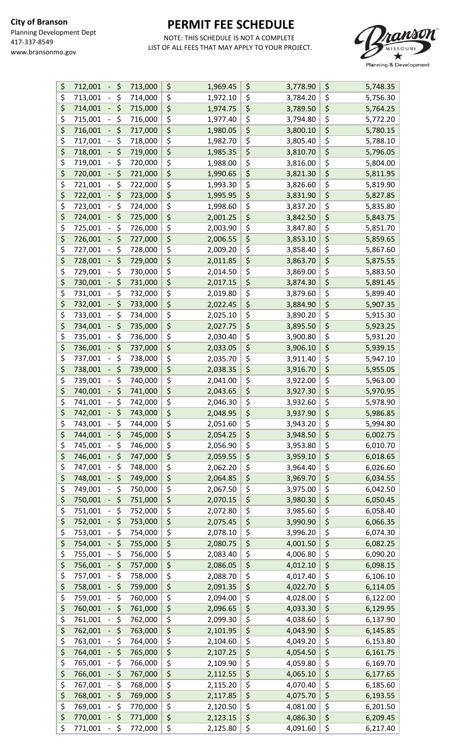

| \$       | \$<br>712,001<br>$\blacksquare$ | 713,000 | \$<br>1,969.45 | \$<br>3,778.90 | \$<br>5,748.35 |
|----------|---------------------------------|---------|----------------|----------------|----------------|
| \$       | \$<br>713,001                   | 714,000 | \$<br>1,972.10 | \$<br>3,784.20 | \$<br>5,756.30 |
| \$       | \$<br>714,001                   | 715,000 | \$<br>1,974.75 | \$<br>3,789.50 | \$<br>5,764.25 |
| \$       | \$<br>715,001                   | 716,000 | \$<br>1,977.40 | \$<br>3,794.80 | \$<br>5,772.20 |
| \$       | \$<br>716,001                   | 717,000 | \$<br>1,980.05 | \$<br>3,800.10 | \$<br>5,780.15 |
| \$       | \$<br>717,001                   | 718,000 | \$<br>1,982.70 | \$<br>3,805.40 | \$<br>5,788.10 |
| \$       | \$<br>718,001                   | 719,000 | \$<br>1,985.35 | \$<br>3,810.70 | \$<br>5,796.05 |
| \$       | \$<br>719,001                   | 720,000 | \$<br>1,988.00 | \$<br>3,816.00 | \$<br>5,804.00 |
| \$       | \$<br>720,001                   | 721,000 | \$<br>1,990.65 | \$<br>3,821.30 | \$<br>5,811.95 |
| \$       | \$<br>721,001                   | 722,000 | \$<br>1,993.30 | \$<br>3,826.60 | \$             |
|          |                                 |         |                |                | 5,819.90       |
| \$       | \$<br>722,001                   | 723,000 | \$<br>1,995.95 | \$<br>3,831.90 | \$<br>5,827.85 |
| \$       | \$<br>723,001                   | 724,000 | \$<br>1,998.60 | \$<br>3,837.20 | \$<br>5,835.80 |
| \$       | \$<br>724,001                   | 725,000 | \$<br>2,001.25 | \$<br>3,842.50 | \$<br>5,843.75 |
| \$       | \$<br>725,001                   | 726,000 | \$<br>2,003.90 | \$<br>3,847.80 | \$<br>5,851.70 |
| \$       | \$<br>726,001                   | 727,000 | \$<br>2,006.55 | \$<br>3,853.10 | \$<br>5,859.65 |
| \$       | \$<br>727,001                   | 728,000 | \$<br>2,009.20 | \$<br>3,858.40 | \$<br>5,867.60 |
| \$       | \$<br>728,001                   | 729,000 | \$<br>2,011.85 | \$<br>3,863.70 | \$<br>5,875.55 |
| \$       | \$<br>729,001                   | 730,000 | \$<br>2,014.50 | \$<br>3,869.00 | \$<br>5,883.50 |
| \$       | \$<br>730,001                   | 731,000 | \$<br>2,017.15 | \$<br>3,874.30 | \$<br>5,891.45 |
| \$       | \$<br>731,001                   | 732,000 | \$<br>2,019.80 | \$<br>3,879.60 | \$<br>5,899.40 |
| \$       | \$<br>732,001                   | 733,000 | \$<br>2,022.45 | \$<br>3,884.90 | \$<br>5,907.35 |
| \$       | \$<br>733,001                   | 734,000 | \$<br>2,025.10 | \$<br>3,890.20 | \$<br>5,915.30 |
| \$       | \$<br>734,001                   | 735,000 | \$<br>2,027.75 | \$<br>3,895.50 | \$<br>5,923.25 |
| \$       | \$<br>735,001                   | 736,000 | \$<br>2,030.40 | \$<br>3,900.80 | \$<br>5,931.20 |
| \$       | \$<br>736,001                   | 737,000 | \$<br>2,033.05 | \$<br>3,906.10 | \$<br>5,939.15 |
| \$       | \$<br>737,001                   | 738,000 | \$<br>2,035.70 | \$<br>3,911.40 | \$<br>5,947.10 |
| \$       | \$<br>738,001                   | 739,000 | \$<br>2,038.35 | \$<br>3,916.70 | \$<br>5,955.05 |
| \$       | \$<br>739,001                   | 740,000 | \$<br>2,041.00 | \$<br>3,922.00 | \$<br>5,963.00 |
| \$       | \$<br>740,001                   | 741,000 | \$             | \$             | \$<br>5,970.95 |
| \$       |                                 |         | 2,043.65       | \$<br>3,927.30 |                |
|          | \$<br>741,001                   | 742,000 | \$<br>2,046.30 | 3,932.60       | \$<br>5,978.90 |
| \$       | \$<br>742,001                   | 743,000 | \$<br>2,048.95 | \$<br>3,937.90 | \$<br>5,986.85 |
| \$       | 743,001<br>\$                   | 744,000 | \$<br>2,051.60 | \$<br>3,943.20 | \$<br>5,994.80 |
| \$       | \$<br>744,001                   | 745,000 | \$<br>2,054.25 | \$<br>3,948.50 | \$<br>6,002.75 |
| \$       | \$<br>745,001                   | 746,000 | \$<br>2,056.90 | \$<br>3,953.80 | \$<br>6,010.70 |
| \$       | \$<br>746,001                   | 747,000 | \$<br>2,059.55 | \$<br>3,959.10 | \$<br>6,018.65 |
| \$       | \$<br>747,001                   | 748,000 | \$<br>2,062.20 | \$<br>3,964.40 | \$<br>6,026.60 |
| \$       | \$<br>748,001                   | 749,000 | \$<br>2,064.85 | \$<br>3,969.70 | \$<br>6,034.55 |
| \$       | \$<br>749,001                   | 750,000 | \$<br>2,067.50 | \$<br>3,975.00 | \$<br>6,042.50 |
| \$       | \$<br>750,001                   | 751,000 | \$<br>2,070.15 | \$<br>3,980.30 | \$<br>6,050.45 |
| \$       | \$<br>751,001                   | 752,000 | \$<br>2,072.80 | \$<br>3,985.60 | \$<br>6,058.40 |
| \$       | \$<br>752,001                   | 753,000 | \$<br>2,075.45 | \$<br>3,990.90 | \$<br>6,066.35 |
| \$       | \$<br>753,001                   | 754,000 | \$<br>2,078.10 | \$<br>3,996.20 | \$<br>6,074.30 |
| \$       | \$<br>754,001                   | 755,000 | \$<br>2,080.75 | \$<br>4,001.50 | \$<br>6,082.25 |
| \$       | \$<br>755,001                   | 756,000 | \$<br>2,083.40 | \$<br>4,006.80 | \$<br>6,090.20 |
| \$       | \$<br>756,001                   | 757,000 | \$<br>2,086.05 | \$<br>4,012.10 | \$<br>6,098.15 |
| \$       | \$<br>757,001                   | 758,000 | \$<br>2,088.70 | \$<br>4,017.40 | \$<br>6,106.10 |
| \$       | \$<br>758,001                   | 759,000 | \$<br>2,091.35 | \$<br>4,022.70 | \$<br>6,114.05 |
| \$       | \$<br>759,001                   | 760,000 | \$<br>2,094.00 | \$<br>4,028.00 | \$<br>6,122.00 |
| \$       | \$<br>760,001                   | 761,000 | \$<br>2,096.65 | \$<br>4,033.30 | \$<br>6,129.95 |
| \$       | \$<br>761,001                   | 762,000 | \$<br>2,099.30 | \$<br>4,038.60 | \$<br>6,137.90 |
| \$       | \$<br>762,001                   | 763,000 | \$<br>2,101.95 | \$<br>4,043.90 | \$<br>6,145.85 |
| \$       | \$<br>763,001                   | 764,000 | \$<br>2,104.60 | \$<br>4,049.20 | \$<br>6,153.80 |
| \$       | \$<br>764,001                   | 765,000 | \$<br>2,107.25 | \$<br>4,054.50 | \$<br>6,161.75 |
|          |                                 |         |                |                | \$             |
| \$<br>\$ | \$<br>765,001                   | 766,000 | \$<br>2,109.90 | \$<br>4,059.80 | 6,169.70       |
|          | \$<br>766,001                   | 767,000 | \$<br>2,112.55 | \$<br>4,065.10 | \$<br>6,177.65 |
| \$       | \$<br>767,001                   | 768,000 | \$<br>2,115.20 | \$<br>4,070.40 | \$<br>6,185.60 |
| \$       | \$<br>768,001                   | 769,000 | \$<br>2,117.85 | \$<br>4,075.70 | \$<br>6,193.55 |
| \$       | \$<br>769,001                   | 770,000 | \$<br>2,120.50 | \$<br>4,081.00 | \$<br>6,201.50 |
| \$       | \$<br>770,001                   | 771,000 | \$<br>2,123.15 | \$<br>4,086.30 | \$<br>6,209.45 |
| \$       | \$<br>771,001                   | 772,000 | \$<br>2,125.80 | \$<br>4,091.60 | \$<br>6,217.40 |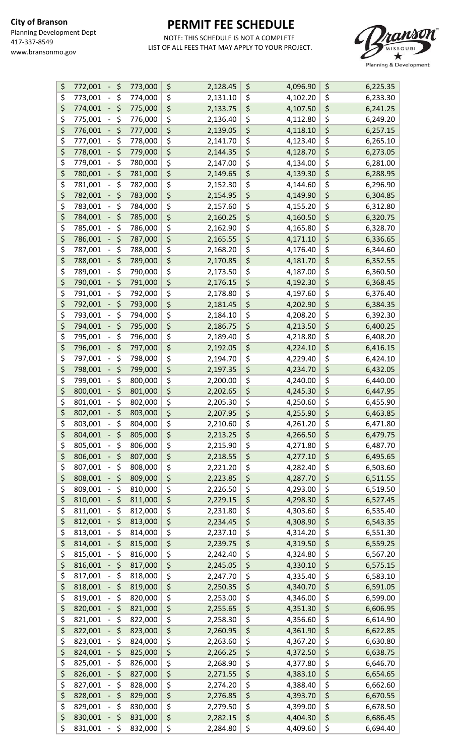

| \$<br>772,001<br>\$<br>$\overline{\phantom{m}}$ | 773,000 | \$<br>2,128.45                              | \$<br>4,096.90 | \$<br>6,225.35 |
|-------------------------------------------------|---------|---------------------------------------------|----------------|----------------|
| \$<br>\$<br>773,001<br>$\qquad \qquad -$        | 774,000 | \$<br>2,131.10                              | \$<br>4,102.20 | \$<br>6,233.30 |
| \$<br>\$<br>774,001                             | 775,000 | \$<br>2,133.75                              | \$<br>4,107.50 | \$<br>6,241.25 |
| \$<br>\$<br>775,001                             | 776,000 | \$<br>2,136.40                              | \$<br>4,112.80 | \$<br>6,249.20 |
| \$<br>\$<br>776,001<br>-                        | 777,000 | \$<br>2,139.05                              | \$<br>4,118.10 | \$<br>6,257.15 |
| \$<br>\$<br>777,001                             | 778,000 | \$<br>2,141.70                              | \$<br>4,123.40 | \$<br>6,265.10 |
| \$<br>\$<br>778,001                             | 779,000 | \$<br>2,144.35                              | \$<br>4,128.70 | \$<br>6,273.05 |
| \$<br>\$                                        |         | \$                                          |                | \$             |
| 779,001                                         | 780,000 | 2,147.00                                    | \$<br>4,134.00 | 6,281.00       |
| \$<br>\$<br>780,001                             | 781,000 | $\overline{\boldsymbol{\zeta}}$<br>2,149.65 | \$<br>4,139.30 | \$<br>6,288.95 |
| \$<br>\$<br>781,001                             | 782,000 | \$<br>2,152.30                              | \$<br>4,144.60 | \$<br>6,296.90 |
| \$<br>\$<br>782,001                             | 783,000 | \$<br>2,154.95                              | \$<br>4,149.90 | \$<br>6,304.85 |
| \$<br>\$<br>783,001                             | 784,000 | \$<br>2,157.60                              | \$<br>4,155.20 | \$<br>6,312.80 |
| \$<br>\$<br>784,001                             | 785,000 | \$<br>2,160.25                              | \$<br>4,160.50 | \$<br>6,320.75 |
| \$<br>\$<br>785,001                             | 786,000 | \$<br>2,162.90                              | \$<br>4,165.80 | \$<br>6,328.70 |
| \$<br>\$<br>786,001                             | 787,000 | \$<br>2,165.55                              | \$<br>4,171.10 | \$<br>6,336.65 |
| \$<br>\$<br>787,001                             | 788,000 | \$<br>2,168.20                              | \$<br>4,176.40 | \$<br>6,344.60 |
| \$<br>\$<br>788,001<br>-                        | 789,000 | \$<br>2,170.85                              | \$<br>4,181.70 | \$<br>6,352.55 |
| \$<br>\$<br>789,001                             | 790,000 | \$<br>2,173.50                              | \$<br>4,187.00 | \$<br>6,360.50 |
| \$<br>\$<br>790,001                             | 791,000 | \$<br>2,176.15                              | \$<br>4,192.30 | \$<br>6,368.45 |
| \$<br>\$<br>791,001                             | 792,000 | \$<br>2,178.80                              | \$<br>4,197.60 | \$<br>6,376.40 |
| \$<br>\$<br>792,001                             | 793,000 | \$<br>2,181.45                              | \$<br>4,202.90 | \$<br>6,384.35 |
| \$<br>\$<br>793,001                             | 794,000 | \$<br>2,184.10                              | \$<br>4,208.20 | \$<br>6,392.30 |
| \$<br>\$<br>794,001<br>-                        | 795,000 | \$<br>2,186.75                              | \$<br>4,213.50 | \$<br>6,400.25 |
| \$<br>\$<br>795,001<br>$\overline{\phantom{0}}$ | 796,000 | \$<br>2,189.40                              | \$<br>4,218.80 | \$<br>6,408.20 |
| \$<br>\$<br>796,001                             | 797,000 | \$<br>2,192.05                              | \$<br>4,224.10 | \$<br>6,416.15 |
| \$<br>\$<br>797,001                             | 798,000 | \$<br>2,194.70                              | \$<br>4,229.40 | \$<br>6,424.10 |
| \$<br>\$<br>798,001<br>-                        | 799,000 | \$<br>2,197.35                              | \$<br>4,234.70 | \$<br>6,432.05 |
| \$<br>\$<br>799,001                             |         | \$                                          | \$             | \$             |
|                                                 | 800,000 | 2,200.00                                    | 4,240.00       | 6,440.00       |
| \$<br>\$<br>800,001                             | 801,000 | \$<br>2,202.65                              | \$<br>4,245.30 | \$<br>6,447.95 |
| \$<br>\$<br>801,001                             | 802,000 | \$<br>2,205.30                              | \$<br>4,250.60 | \$<br>6,455.90 |
| \$<br>\$<br>802,001                             | 803,000 | \$<br>2,207.95                              | \$<br>4,255.90 | \$<br>6,463.85 |
| \$<br>\$<br>803,001                             | 804,000 | \$<br>2,210.60                              | \$<br>4,261.20 | \$<br>6,471.80 |
| \$<br>\$<br>804,001                             | 805,000 | \$<br>2,213.25                              | \$<br>4,266.50 | \$<br>6,479.75 |
| \$<br>\$<br>805,001                             | 806,000 | \$<br>2,215.90                              | \$<br>4,271.80 | \$<br>6,487.70 |
| \$<br>\$<br>806,001                             | 807,000 | \$<br>2,218.55                              | \$<br>4,277.10 | \$<br>6,495.65 |
| \$<br>\$<br>807,001<br>-                        | 808,000 | \$<br>2,221.20                              | \$<br>4,282.40 | \$<br>6,503.60 |
| \$<br>\$<br>808,001                             | 809,000 | \$<br>2,223.85                              | \$<br>4,287.70 | \$<br>6,511.55 |
| \$<br>\$<br>809,001                             | 810,000 | \$<br>2,226.50                              | \$<br>4,293.00 | \$<br>6,519.50 |
| \$<br>\$<br>810,001                             | 811,000 | \$<br>2,229.15                              | \$<br>4,298.30 | \$<br>6,527.45 |
| \$<br>\$<br>811,001                             | 812,000 | \$<br>2,231.80                              | \$<br>4,303.60 | \$<br>6,535.40 |
| \$<br>\$<br>812,001                             | 813,000 | \$<br>2,234.45                              | \$<br>4,308.90 | \$<br>6,543.35 |
| \$<br>\$<br>813,001                             | 814,000 | \$<br>2,237.10                              | \$<br>4,314.20 | \$<br>6,551.30 |
| \$<br>\$<br>814,001                             | 815,000 | \$<br>2,239.75                              | \$<br>4,319.50 | \$<br>6,559.25 |
| \$<br>\$<br>815,001                             | 816,000 | \$<br>2,242.40                              | \$<br>4,324.80 | \$<br>6,567.20 |
| \$<br>\$<br>816,001                             | 817,000 | \$<br>2,245.05                              | \$<br>4,330.10 | \$<br>6,575.15 |
| \$<br>\$<br>817,001                             | 818,000 | \$<br>2,247.70                              | \$<br>4,335.40 | \$<br>6,583.10 |
| \$<br>\$<br>818,001                             | 819,000 | \$<br>2,250.35                              | \$<br>4,340.70 | \$<br>6,591.05 |
| \$<br>\$<br>819,001                             | 820,000 | \$<br>2,253.00                              | \$<br>4,346.00 | \$<br>6,599.00 |
| \$<br>\$<br>820,001<br>$\overline{\phantom{0}}$ | 821,000 | \$<br>2,255.65                              | \$<br>4,351.30 | \$<br>6,606.95 |
| \$<br>\$<br>821,001                             | 822,000 | \$<br>2,258.30                              | \$<br>4,356.60 | \$<br>6,614.90 |
| \$<br>\$<br>822,001                             | 823,000 | \$<br>2,260.95                              | \$<br>4,361.90 | \$<br>6,622.85 |
| \$<br>\$<br>823,001                             | 824,000 | \$<br>2,263.60                              | \$<br>4,367.20 | \$<br>6,630.80 |
| \$<br>\$<br>824,001<br>-                        | 825,000 | \$<br>2,266.25                              | \$<br>4,372.50 | \$<br>6,638.75 |
|                                                 |         |                                             |                |                |
| \$<br>\$<br>825,001                             | 826,000 | \$<br>2,268.90                              | \$<br>4,377.80 | \$<br>6,646.70 |
| \$<br>\$<br>826,001<br>-                        | 827,000 | \$<br>2,271.55                              | \$<br>4,383.10 | \$<br>6,654.65 |
| \$<br>\$<br>827,001                             | 828,000 | \$<br>2,274.20                              | \$<br>4,388.40 | \$<br>6,662.60 |
| \$<br>\$<br>828,001                             | 829,000 | \$<br>2,276.85                              | \$<br>4,393.70 | \$<br>6,670.55 |
| \$<br>\$<br>829,001                             | 830,000 | \$<br>2,279.50                              | \$<br>4,399.00 | \$<br>6,678.50 |
| \$<br>\$<br>830,001                             | 831,000 | \$<br>2,282.15                              | \$<br>4,404.30 | \$<br>6,686.45 |
| \$<br>\$<br>831,001<br>$\blacksquare$           | 832,000 | \$<br>2,284.80                              | \$<br>4,409.60 | \$<br>6,694.40 |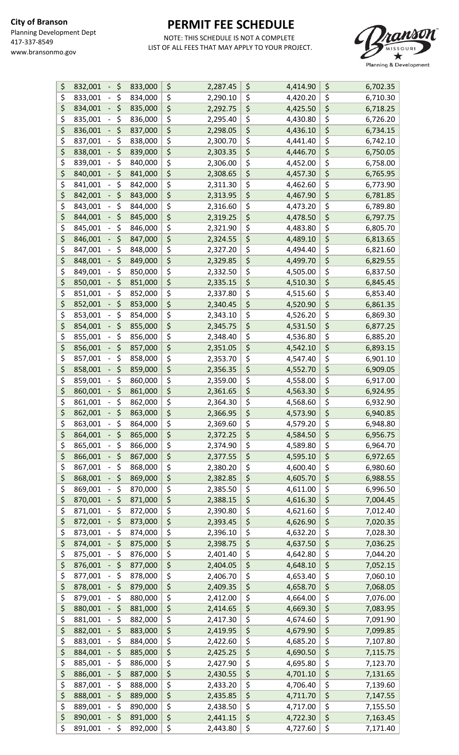

| \$<br>832,001<br>\$<br>$\overline{\phantom{0}}$ | 833,000 | \$                                  | 2,287.45 | \$<br>4,414.90 | \$<br>6,702.35 |
|-------------------------------------------------|---------|-------------------------------------|----------|----------------|----------------|
| \$<br>\$<br>833,001                             | 834,000 | \$                                  | 2,290.10 | \$<br>4,420.20 | \$<br>6,710.30 |
| \$<br>\$<br>834,001                             | 835,000 | \$                                  | 2,292.75 | \$<br>4,425.50 | \$<br>6,718.25 |
| \$<br>\$<br>835,001                             | 836,000 | \$                                  | 2,295.40 | \$<br>4,430.80 | \$<br>6,726.20 |
| \$<br>\$<br>836,001                             | 837,000 | \$                                  | 2,298.05 | \$<br>4,436.10 | \$<br>6,734.15 |
| \$<br>\$<br>837,001                             | 838,000 | \$                                  | 2,300.70 | \$<br>4,441.40 | \$<br>6,742.10 |
| \$<br>\$<br>838,001                             | 839,000 | \$                                  | 2,303.35 | \$<br>4,446.70 | \$<br>6,750.05 |
| \$<br>\$<br>839,001                             |         | \$                                  |          | \$<br>4,452.00 | \$             |
|                                                 | 840,000 | $\overline{\boldsymbol{\varsigma}}$ | 2,306.00 |                | \$<br>6,758.00 |
| \$<br>\$<br>840,001                             | 841,000 |                                     | 2,308.65 | \$<br>4,457.30 | 6,765.95       |
| \$<br>\$<br>841,001<br>-                        | 842,000 | \$                                  | 2,311.30 | \$<br>4,462.60 | \$<br>6,773.90 |
| \$<br>\$<br>842,001<br>-                        | 843,000 | \$                                  | 2,313.95 | \$<br>4,467.90 | \$<br>6,781.85 |
| \$<br>\$<br>843,001                             | 844,000 | \$                                  | 2,316.60 | \$<br>4,473.20 | \$<br>6,789.80 |
| \$<br>\$<br>844,001                             | 845,000 | \$                                  | 2,319.25 | \$<br>4,478.50 | \$<br>6,797.75 |
| \$<br>\$<br>845,001<br>-                        | 846,000 | \$                                  | 2,321.90 | \$<br>4,483.80 | \$<br>6,805.70 |
| \$<br>\$<br>846,001                             | 847,000 | \$                                  | 2,324.55 | \$<br>4,489.10 | \$<br>6,813.65 |
| \$<br>\$<br>847,001                             | 848,000 | \$                                  | 2,327.20 | \$<br>4,494.40 | \$<br>6,821.60 |
| \$<br>\$<br>848,001<br>-                        | 849,000 | \$                                  | 2,329.85 | \$<br>4,499.70 | \$<br>6,829.55 |
| \$<br>\$<br>849,001                             | 850,000 | \$                                  | 2,332.50 | \$<br>4,505.00 | \$<br>6,837.50 |
| \$<br>\$<br>850,001                             | 851,000 | \$                                  | 2,335.15 | \$<br>4,510.30 | \$<br>6,845.45 |
| \$<br>\$<br>851,001<br>-                        | 852,000 | \$                                  | 2,337.80 | \$<br>4,515.60 | \$<br>6,853.40 |
| \$<br>\$<br>852,001                             | 853,000 | \$                                  | 2,340.45 | \$<br>4,520.90 | \$<br>6,861.35 |
| \$<br>\$<br>853,001                             | 854,000 | \$                                  | 2,343.10 | \$<br>4,526.20 | \$<br>6,869.30 |
| \$<br>\$<br>854,001<br>-                        | 855,000 | \$                                  | 2,345.75 | \$<br>4,531.50 | \$<br>6,877.25 |
| \$<br>\$<br>855,001                             | 856,000 | \$                                  | 2,348.40 | \$<br>4,536.80 | \$<br>6,885.20 |
| \$<br>\$<br>856,001                             | 857,000 | \$                                  | 2,351.05 | \$<br>4,542.10 | \$<br>6,893.15 |
| \$<br>\$<br>857,001                             | 858,000 | \$                                  | 2,353.70 | \$<br>4,547.40 | \$<br>6,901.10 |
| \$<br>\$<br>858,001<br>$\overline{\phantom{0}}$ | 859,000 | \$                                  | 2,356.35 | \$<br>4,552.70 | \$<br>6,909.05 |
| \$<br>\$<br>859,001                             | 860,000 | \$                                  | 2,359.00 | \$<br>4,558.00 | \$<br>6,917.00 |
| \$<br>\$<br>860,001                             |         | \$                                  |          | \$             | \$             |
| $\overline{\phantom{0}}$                        | 861,000 |                                     | 2,361.65 | 4,563.30       | \$<br>6,924.95 |
| \$<br>\$<br>861,001                             | 862,000 | \$                                  | 2,364.30 | \$<br>4,568.60 | 6,932.90       |
| \$<br>\$<br>862,001                             | 863,000 | \$                                  | 2,366.95 | \$<br>4,573.90 | \$<br>6,940.85 |
| \$<br>863,001<br>\$                             | 864,000 | \$                                  | 2,369.60 | \$<br>4,579.20 | \$<br>6,948.80 |
| \$<br>\$<br>864,001                             | 865,000 | \$                                  | 2,372.25 | \$<br>4,584.50 | \$<br>6,956.75 |
| \$<br>\$<br>865,001                             | 866,000 | \$                                  | 2,374.90 | \$<br>4,589.80 | \$<br>6,964.70 |
| \$<br>\$<br>866,001                             | 867,000 | \$                                  | 2,377.55 | \$<br>4,595.10 | \$<br>6,972.65 |
| \$<br>\$<br>867,001<br>-                        | 868,000 | \$                                  | 2,380.20 | \$<br>4,600.40 | \$<br>6,980.60 |
| \$<br>\$<br>868,001                             | 869,000 | \$                                  | 2,382.85 | \$<br>4,605.70 | \$<br>6,988.55 |
| \$<br>\$<br>869,001                             | 870,000 | \$                                  | 2,385.50 | \$<br>4,611.00 | \$<br>6,996.50 |
| \$<br>\$<br>870,001                             | 871,000 | \$                                  | 2,388.15 | \$<br>4,616.30 | \$<br>7,004.45 |
| \$<br>\$<br>871,001                             | 872,000 | \$                                  | 2,390.80 | \$<br>4,621.60 | \$<br>7,012.40 |
| \$<br>\$<br>872,001<br>-                        | 873,000 | \$                                  | 2,393.45 | \$<br>4,626.90 | \$<br>7,020.35 |
| \$<br>\$<br>873,001                             | 874,000 | \$                                  | 2,396.10 | \$<br>4,632.20 | \$<br>7,028.30 |
| \$<br>\$<br>874,001                             | 875,000 | \$                                  | 2,398.75 | \$<br>4,637.50 | \$<br>7,036.25 |
| \$<br>\$<br>875,001                             | 876,000 | \$                                  | 2,401.40 | \$<br>4,642.80 | \$<br>7,044.20 |
| \$<br>\$<br>876,001                             | 877,000 | \$                                  | 2,404.05 | \$<br>4,648.10 | \$<br>7,052.15 |
| \$<br>\$<br>877,001                             | 878,000 | \$                                  | 2,406.70 | \$<br>4,653.40 | \$<br>7,060.10 |
| \$<br>\$<br>878,001                             | 879,000 | \$                                  | 2,409.35 | \$<br>4,658.70 | \$<br>7,068.05 |
| \$<br>\$<br>879,001<br>-                        | 880,000 | \$                                  | 2,412.00 | \$<br>4,664.00 | \$<br>7,076.00 |
| \$<br>\$<br>880,001                             | 881,000 | \$                                  | 2,414.65 | \$<br>4,669.30 | \$<br>7,083.95 |
| \$<br>\$<br>881,001                             | 882,000 | \$                                  | 2,417.30 | \$<br>4,674.60 | \$<br>7,091.90 |
| \$<br>\$<br>882,001                             | 883,000 | \$                                  | 2,419.95 | \$<br>4,679.90 | \$<br>7,099.85 |
| \$<br>\$<br>883,001                             | 884,000 | \$                                  | 2,422.60 | \$<br>4,685.20 | \$<br>7,107.80 |
| \$<br>\$                                        | 885,000 | \$                                  | 2,425.25 | \$             | \$             |
| 884,001                                         |         |                                     |          | 4,690.50       | 7,115.75       |
| \$<br>\$<br>885,001                             | 886,000 | \$                                  | 2,427.90 | \$<br>4,695.80 | \$<br>7,123.70 |
| \$<br>\$<br>886,001                             | 887,000 | \$                                  | 2,430.55 | \$<br>4,701.10 | \$<br>7,131.65 |
| \$<br>\$<br>887,001                             | 888,000 | \$                                  | 2,433.20 | \$<br>4,706.40 | \$<br>7,139.60 |
| \$<br>\$<br>888,001                             | 889,000 | \$                                  | 2,435.85 | \$<br>4,711.70 | \$<br>7,147.55 |
| \$<br>\$<br>889,001                             | 890,000 | \$                                  | 2,438.50 | \$<br>4,717.00 | \$<br>7,155.50 |
| \$<br>\$<br>890,001                             | 891,000 | \$                                  | 2,441.15 | \$<br>4,722.30 | \$<br>7,163.45 |
| \$<br>\$<br>891,001<br>$\sim$                   | 892,000 | \$                                  | 2,443.80 | \$<br>4,727.60 | \$<br>7,171.40 |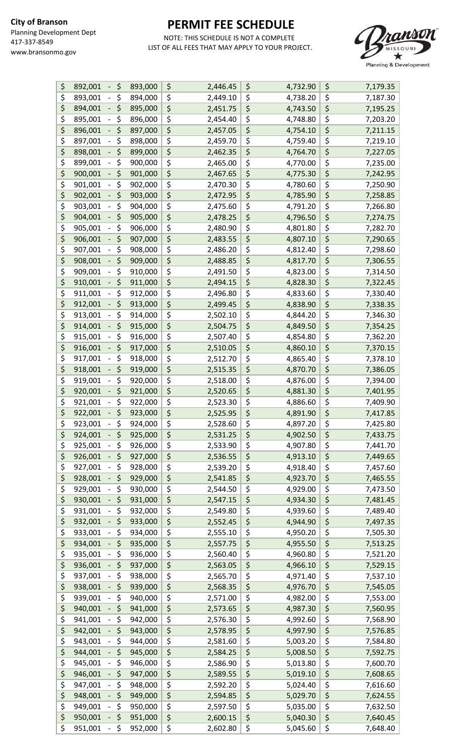

| \$<br>\$<br>892,001 | 893,000 | \$<br>2,446.45 | \$<br>4,732.90 | \$<br>7,179.35 |
|---------------------|---------|----------------|----------------|----------------|
| \$<br>\$<br>893,001 | 894,000 | \$<br>2,449.10 | \$<br>4,738.20 | \$<br>7,187.30 |
| \$<br>\$<br>894,001 | 895,000 | \$<br>2,451.75 | \$<br>4,743.50 | \$<br>7,195.25 |
| \$<br>\$<br>895,001 | 896,000 | \$<br>2,454.40 | \$<br>4,748.80 | \$<br>7,203.20 |
| \$<br>\$<br>896,001 | 897,000 | \$<br>2,457.05 | \$<br>4,754.10 | \$<br>7,211.15 |
| \$<br>\$<br>897,001 | 898,000 | \$<br>2,459.70 | \$<br>4,759.40 | \$<br>7,219.10 |
| \$<br>\$<br>898,001 | 899,000 | \$<br>2,462.35 | \$<br>4,764.70 | \$<br>7,227.05 |
| \$<br>\$<br>899,001 | 900,000 | \$<br>2,465.00 | \$<br>4,770.00 | \$<br>7,235.00 |
| \$<br>\$<br>900,001 | 901,000 | \$<br>2,467.65 | \$<br>4,775.30 | \$<br>7,242.95 |
| \$<br>\$<br>901,001 | 902,000 | \$<br>2,470.30 | \$<br>4,780.60 | \$<br>7,250.90 |
|                     |         |                |                |                |
| \$<br>\$<br>902,001 | 903,000 | \$<br>2,472.95 | \$<br>4,785.90 | \$<br>7,258.85 |
| \$<br>\$<br>903,001 | 904,000 | \$<br>2,475.60 | \$<br>4,791.20 | \$<br>7,266.80 |
| \$<br>\$<br>904,001 | 905,000 | \$<br>2,478.25 | \$<br>4,796.50 | \$<br>7,274.75 |
| \$<br>\$<br>905,001 | 906,000 | \$<br>2,480.90 | \$<br>4,801.80 | \$<br>7,282.70 |
| \$<br>\$<br>906,001 | 907,000 | \$<br>2,483.55 | \$<br>4,807.10 | \$<br>7,290.65 |
| \$<br>\$<br>907,001 | 908,000 | \$<br>2,486.20 | \$<br>4,812.40 | \$<br>7,298.60 |
| \$<br>\$<br>908,001 | 909,000 | \$<br>2,488.85 | \$<br>4,817.70 | \$<br>7,306.55 |
| \$<br>\$<br>909,001 | 910,000 | \$<br>2,491.50 | \$<br>4,823.00 | \$<br>7,314.50 |
| \$<br>\$<br>910,001 | 911,000 | \$<br>2,494.15 | \$<br>4,828.30 | \$<br>7,322.45 |
| \$<br>\$<br>911,001 | 912,000 | \$<br>2,496.80 | \$<br>4,833.60 | \$<br>7,330.40 |
| \$<br>\$<br>912,001 | 913,000 | \$<br>2,499.45 | \$<br>4,838.90 | \$<br>7,338.35 |
| \$<br>\$<br>913,001 | 914,000 | \$<br>2,502.10 | \$<br>4,844.20 | \$<br>7,346.30 |
| \$<br>\$<br>914,001 | 915,000 | \$<br>2,504.75 | \$<br>4,849.50 | \$<br>7,354.25 |
| \$<br>\$<br>915,001 | 916,000 | \$<br>2,507.40 | \$<br>4,854.80 | \$<br>7,362.20 |
| \$<br>\$<br>916,001 | 917,000 | \$<br>2,510.05 | \$<br>4,860.10 | \$<br>7,370.15 |
| \$<br>\$<br>917,001 | 918,000 |                | \$             | \$             |
| \$                  |         | \$<br>2,512.70 | 4,865.40       | 7,378.10       |
| \$<br>918,001       | 919,000 | \$<br>2,515.35 | \$<br>4,870.70 | \$<br>7,386.05 |
| \$<br>\$<br>919,001 | 920,000 | \$<br>2,518.00 | \$<br>4,876.00 | \$<br>7,394.00 |
| \$<br>\$<br>920,001 | 921,000 | \$<br>2,520.65 | \$<br>4,881.30 | \$<br>7,401.95 |
| \$<br>\$<br>921,001 | 922,000 | \$<br>2,523.30 | \$<br>4,886.60 | \$<br>7,409.90 |
| \$<br>\$<br>922,001 | 923,000 | \$<br>2,525.95 | \$<br>4,891.90 | \$<br>7,417.85 |
| \$<br>923,001<br>\$ | 924,000 | \$<br>2,528.60 | \$<br>4,897.20 | \$<br>7,425.80 |
| \$<br>\$<br>924,001 | 925,000 | \$<br>2,531.25 | \$<br>4,902.50 | \$<br>7,433.75 |
| \$<br>\$<br>925,001 | 926,000 | \$<br>2,533.90 | \$<br>4,907.80 | \$<br>7,441.70 |
| \$<br>\$<br>926,001 | 927,000 | \$<br>2,536.55 | \$<br>4,913.10 | \$<br>7,449.65 |
| \$<br>\$<br>927,001 | 928,000 | \$<br>2,539.20 | \$<br>4,918.40 | \$<br>7,457.60 |
| \$<br>\$<br>928,001 | 929,000 | \$<br>2,541.85 | \$<br>4,923.70 | \$<br>7,465.55 |
| \$<br>\$<br>929,001 | 930,000 | \$<br>2,544.50 | \$<br>4,929.00 | \$<br>7,473.50 |
| \$<br>\$<br>930,001 | 931,000 | \$<br>2,547.15 | \$<br>4,934.30 | \$<br>7,481.45 |
| \$<br>\$<br>931,001 | 932,000 | \$<br>2,549.80 | \$<br>4,939.60 | \$<br>7,489.40 |
| \$<br>\$<br>932,001 | 933,000 | \$<br>2,552.45 | \$<br>4,944.90 | \$<br>7,497.35 |
| \$<br>\$<br>933,001 | 934,000 | \$<br>2,555.10 | \$<br>4,950.20 | \$<br>7,505.30 |
| \$<br>\$<br>934,001 | 935,000 | \$<br>2,557.75 | \$<br>4,955.50 | \$<br>7,513.25 |
| \$<br>\$<br>935,001 | 936,000 | \$<br>2,560.40 | \$<br>4,960.80 | \$<br>7,521.20 |
| \$<br>\$<br>936,001 | 937,000 | \$<br>2,563.05 | \$<br>4,966.10 | \$<br>7,529.15 |
| \$<br>\$            |         |                |                | \$             |
| 937,001             | 938,000 | \$<br>2,565.70 | \$<br>4,971.40 | 7,537.10       |
| \$<br>\$<br>938,001 | 939,000 | \$<br>2,568.35 | \$<br>4,976.70 | \$<br>7,545.05 |
| \$<br>\$<br>939,001 | 940,000 | \$<br>2,571.00 | \$<br>4,982.00 | \$<br>7,553.00 |
| \$<br>\$<br>940,001 | 941,000 | \$<br>2,573.65 | \$<br>4,987.30 | \$<br>7,560.95 |
| \$<br>\$<br>941,001 | 942,000 | \$<br>2,576.30 | \$<br>4,992.60 | \$<br>7,568.90 |
| \$<br>\$<br>942,001 | 943,000 | \$<br>2,578.95 | \$<br>4,997.90 | \$<br>7,576.85 |
| \$<br>\$<br>943,001 | 944,000 | \$<br>2,581.60 | \$<br>5,003.20 | \$<br>7,584.80 |
| \$<br>\$<br>944,001 | 945,000 | \$<br>2,584.25 | \$<br>5,008.50 | \$<br>7,592.75 |
| \$<br>\$<br>945,001 | 946,000 | \$<br>2,586.90 | \$<br>5,013.80 | \$<br>7,600.70 |
| \$<br>\$<br>946,001 | 947,000 | \$<br>2,589.55 | \$<br>5,019.10 | \$<br>7,608.65 |
| \$<br>\$<br>947,001 | 948,000 | \$<br>2,592.20 | \$<br>5,024.40 | \$<br>7,616.60 |
| \$<br>\$<br>948,001 | 949,000 | \$<br>2,594.85 | \$<br>5,029.70 | \$<br>7,624.55 |
| \$<br>\$<br>949,001 | 950,000 | \$<br>2,597.50 | \$<br>5,035.00 | \$<br>7,632.50 |
| \$<br>\$<br>950,001 | 951,000 | \$<br>2,600.15 | \$<br>5,040.30 | \$<br>7,640.45 |
| \$<br>\$<br>951,001 | 952,000 | \$<br>2,602.80 | \$<br>5,045.60 | \$<br>7,648.40 |